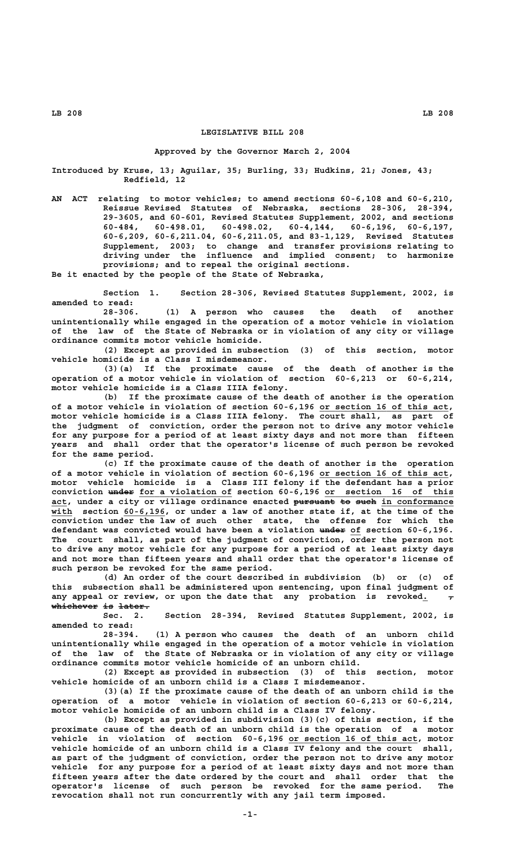# **LEGISLATIVE BILL 208**

#### **Approved by the Governor March 2, 2004**

**Introduced by Kruse, 13; Aguilar, 35; Burling, 33; Hudkins, 21; Jones, 43; Redfield, 12**

**AN ACT relating to motor vehicles; to amend sections 60-6,108 and 60-6,210, Reissue Revised Statutes of Nebraska, sections 28-306, 28-394, 29-3605, and 60-601, Revised Statutes Supplement, 2002, and sections 60-484, 60-498.01, 60-498.02, 60-4,144, 60-6,196, 60-6,197, 60-6,209, 60-6,211.04, 60-6,211.05, and 83-1,129, Revised Statutes Supplement, 2003; to change and transfer provisions relating to driving under the influence and implied consent; to harmonize provisions; and to repeal the original sections. Be it enacted by the people of the State of Nebraska,**

**Section 1. Section 28-306, Revised Statutes Supplement, 2002, is amended to read:**

**28-306. (1) A person who causes the death of another unintentionally while engaged in the operation of a motor vehicle in violation of the law of the State of Nebraska or in violation of any city or village ordinance commits motor vehicle homicide.**

**(2) Except as provided in subsection (3) of this section, motor vehicle homicide is a Class I misdemeanor.**

**(3)(a) If the proximate cause of the death of another is the operation of a motor vehicle in violation of section 60-6,213 or 60-6,214, motor vehicle homicide is a Class IIIA felony.**

**(b) If the proximate cause of the death of another is the operation** of a motor vehicle in violation of section 60-6,196 or section 16 of this act, **motor vehicle homicide is a Class IIIA felony. The court shall, as part of the judgment of conviction, order the person not to drive any motor vehicle for any purpose for a period of at least sixty days and not more than fifteen years and shall order that the operator's license of such person be revoked for the same period.**

**(c) If the proximate cause of the death of another is the operation** of a motor vehicle in violation of section 60-6,196 or section 16 of this act, **motor vehicle homicide is a Class III felony if the defendant has a prior** conviction under for a violation of section 60-6,196 or section 16 of this act, under a city or village ordinance enacted pursuant to such in conformance with section 60-6,196, or under a law of another state if, at the time of the **conviction under the law of such other state, the offense for which the** defendant was convicted would have been a violation under of section 60-6,196. **The court shall, as part of the judgment of conviction, order the person not to drive any motor vehicle for any purpose for a period of at least sixty days and not more than fifteen years and shall order that the operator's license of such person be revoked for the same period.**

**(d) An order of the court described in subdivision (b) or (c) of this subsection shall be administered upon sentencing, upon final judgment of** any appeal or review, or upon the date that any probation is revoked<sub>1</sub> **whichever is later. ————————— —— ——————**

**Sec. 2. Section 28-394, Revised Statutes Supplement, 2002, is amended to read:**

**28-394. (1) A person who causes the death of an unborn child unintentionally while engaged in the operation of a motor vehicle in violation of the law of the State of Nebraska or in violation of any city or village ordinance commits motor vehicle homicide of an unborn child.**

**(2) Except as provided in subsection (3) of this section, motor vehicle homicide of an unborn child is a Class I misdemeanor.**

**(3)(a) If the proximate cause of the death of an unborn child is the operation of a motor vehicle in violation of section 60-6,213 or 60-6,214, motor vehicle homicide of an unborn child is a Class IV felony.**

**(b) Except as provided in subdivision (3)(c) of this section, if the proximate cause of the death of an unborn child is the operation of a motor** vehicle in violation of section 60-6,196 or section 16 of this act, motor **vehicle homicide of an unborn child is a Class IV felony and the court shall, as part of the judgment of conviction, order the person not to drive any motor vehicle for any purpose for a period of at least sixty days and not more than fifteen years after the date ordered by the court and shall order that the operator's license of such person be revoked for the same period. The revocation shall not run concurrently with any jail term imposed.**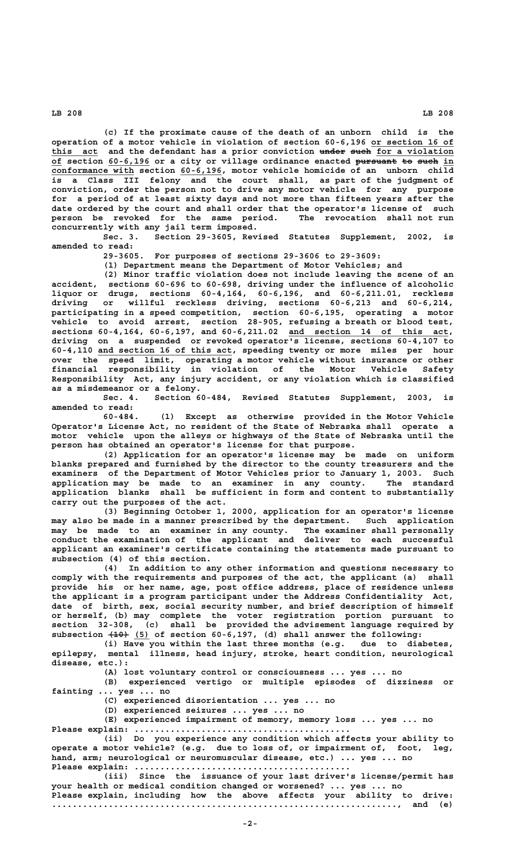**(c) If the proximate cause of the death of an unborn child is the operation of a motor vehicle in violation of section 60-6,196 or section 16 of \_\_\_\_\_\_\_\_\_\_\_\_\_\_\_\_** this act and the defendant has a prior conviction under such for a violation of section 60-6,196 or a city or village ordinance enacted pursuant to such in  **\_\_\_\_\_\_\_\_\_\_\_\_\_\_\_\_ \_\_\_\_\_\_\_\_ conformance with section 60-6,196, motor vehicle homicide of an unborn child is a Class III felony and the court shall, as part of the judgment of conviction, order the person not to drive any motor vehicle for any purpose for a period of at least sixty days and not more than fifteen years after the date ordered by the court and shall order that the operator's license of such person be revoked for the same period. The revocation shall not run concurrently with any jail term imposed.**

**Sec. 3. Section 29-3605, Revised Statutes Supplement, 2002, is amended to read:**

**29-3605. For purposes of sections 29-3606 to 29-3609:**

**(1) Department means the Department of Motor Vehicles; and**

**(2) Minor traffic violation does not include leaving the scene of an accident, sections 60-696 to 60-698, driving under the influence of alcoholic liquor or drugs, sections 60-4,164, 60-6,196, and 60-6,211.01, reckless driving or willful reckless driving, sections 60-6,213 and 60-6,214, participating in a speed competition, section 60-6,195, operating a motor vehicle to avoid arrest, section 28-905, refusing a breath or blood test, sections 60-4,164, 60-6,197, and 60-6,211.02 and section 14 of this act, \_\_\_\_\_\_\_\_\_\_\_\_\_\_\_\_\_\_\_\_\_\_\_\_\_\_\_\_\_\_\_ driving on a suspended or revoked operator's license, sections 60-4,107 to \_\_\_\_\_\_\_\_\_\_\_\_\_\_\_\_\_\_\_\_\_\_\_\_\_\_ 60-4,110 and section 16 of this act, speeding twenty or more miles per hour over the speed limit, operating a motor vehicle without insurance or other financial responsibility in violation of the Motor Vehicle Safety Responsibility Act, any injury accident, or any violation which is classified as a misdemeanor or a felony.**

**Sec. 4. Section 60-484, Revised Statutes Supplement, 2003, is amended to read:**

**60-484. (1) Except as otherwise provided in the Motor Vehicle Operator's License Act, no resident of the State of Nebraska shall operate a motor vehicle upon the alleys or highways of the State of Nebraska until the person has obtained an operator's license for that purpose.**

**(2) Application for an operator's license may be made on uniform blanks prepared and furnished by the director to the county treasurers and the examiners of the Department of Motor Vehicles prior to January 1, 2003. Such application may be made to an examiner in any county. The standard application blanks shall be sufficient in form and content to substantially carry out the purposes of the act.**

**(3) Beginning October 1, 2000, application for an operator's license may also be made in a manner prescribed by the department. Such application may be made to an examiner in any county. The examiner shall personally conduct the examination of the applicant and deliver to each successful applicant an examiner's certificate containing the statements made pursuant to subsection (4) of this section.**

**(4) In addition to any other information and questions necessary to comply with the requirements and purposes of the act, the applicant (a) shall provide his or her name, age, post office address, place of residence unless the applicant is a program participant under the Address Confidentiality Act, date of birth, sex, social security number, and brief description of himself or herself, (b) may complete the voter registration portion pursuant to section 32-308, (c) shall be provided the advisement language required by ———— \_\_\_ subsection (10) (5) of section 60-6,197, (d) shall answer the following:**

**(i) Have you within the last three months (e.g. due to diabetes, epilepsy, mental illness, head injury, stroke, heart condition, neurological disease, etc.):**

**(A) lost voluntary control or consciousness ... yes ... no**

**(B) experienced vertigo or multiple episodes of dizziness or fainting ... yes ... no**

**(C) experienced disorientation ... yes ... no**

**(D) experienced seizures ... yes ... no**

**(E) experienced impairment of memory, memory loss ... yes ... no Please explain: ..........................................**

**(ii) Do you experience any condition which affects your ability to operate a motor vehicle? (e.g. due to loss of, or impairment of, foot, leg, hand, arm; neurological or neuromuscular disease, etc.) ... yes ... no Please explain: ..........................................**

**(iii) Since the issuance of your last driver's license/permit has your health or medical condition changed or worsened? ... yes ... no Please explain, including how the above affects your ability to drive:**

**..................................................................., and (e)**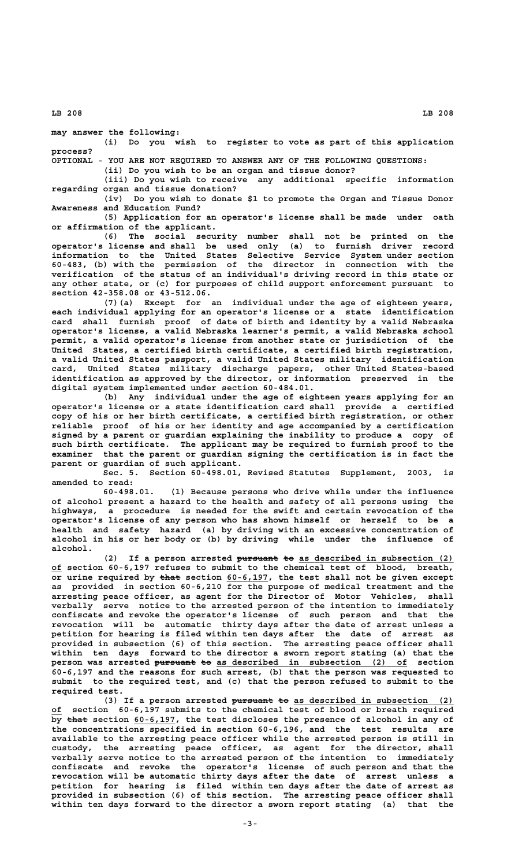**may answer the following:**

**(i) Do you wish to register to vote as part of this application process?**

**OPTIONAL - YOU ARE NOT REQUIRED TO ANSWER ANY OF THE FOLLOWING QUESTIONS:**

**(ii) Do you wish to be an organ and tissue donor?**

**(iii) Do you wish to receive any additional specific information regarding organ and tissue donation?**

**(iv) Do you wish to donate \$1 to promote the Organ and Tissue Donor Awareness and Education Fund?**

**(5) Application for an operator's license shall be made under oath or affirmation of the applicant.**

**(6) The social security number shall not be printed on the operator's license and shall be used only (a) to furnish driver record information to the United States Selective Service System under section 60-483, (b) with the permission of the director in connection with the verification of the status of an individual's driving record in this state or any other state, or (c) for purposes of child support enforcement pursuant to section 42-358.08 or 43-512.06.**

**(7)(a) Except for an individual under the age of eighteen years, each individual applying for an operator's license or a state identification card shall furnish proof of date of birth and identity by a valid Nebraska operator's license, a valid Nebraska learner's permit, a valid Nebraska school permit, a valid operator's license from another state or jurisdiction of the United States, a certified birth certificate, a certified birth registration, a valid United States passport, a valid United States military identification card, United States military discharge papers, other United States-based identification as approved by the director, or information preserved in the digital system implemented under section 60-484.01.**

**(b) Any individual under the age of eighteen years applying for an operator's license or a state identification card shall provide a certified copy of his or her birth certificate, a certified birth registration, or other reliable proof of his or her identity and age accompanied by a certification signed by a parent or guardian explaining the inability to produce a copy of such birth certificate. The applicant may be required to furnish proof to the examiner that the parent or guardian signing the certification is in fact the parent or guardian of such applicant.**

**Sec. 5. Section 60-498.01, Revised Statutes Supplement, 2003, is amended to read:**

**60-498.01. (1) Because persons who drive while under the influence of alcohol present a hazard to the health and safety of all persons using the highways, a procedure is needed for the swift and certain revocation of the operator's license of any person who has shown himself or herself to be a health and safety hazard (a) by driving with an excessive concentration of alcohol in his or her body or (b) by driving while under the influence of alcohol.**

(2) If a person arrested pursuant to as described in subsection (2)  **\_\_of section 60-6,197 refuses to submit to the chemical test of blood, breath,** or urine required by that section 60-6,197, the test shall not be given except **as provided in section 60-6,210 for the purpose of medical treatment and the arresting peace officer, as agent for the Director of Motor Vehicles, shall verbally serve notice to the arrested person of the intention to immediately confiscate and revoke the operator's license of such person and that the revocation will be automatic thirty days after the date of arrest unless a petition for hearing is filed within ten days after the date of arrest as provided in subsection (6) of this section. The arresting peace officer shall within ten days forward to the director a sworn report stating (a) that the** person was arrested pursuant to as described in subsection (2) of section **60-6,197 and the reasons for such arrest, (b) that the person was requested to submit to the required test, and (c) that the person refused to submit to the required test.**

(3) If a person arrested pursuant to as described in subsection (2)  **\_\_of section 60-6,197 submits to the chemical test of blood or breath required** by that section 60-6,197, the test discloses the presence of alcohol in any of **the concentrations specified in section 60-6,196, and the test results are available to the arresting peace officer while the arrested person is still in custody, the arresting peace officer, as agent for the director, shall verbally serve notice to the arrested person of the intention to immediately confiscate and revoke the operator's license of such person and that the revocation will be automatic thirty days after the date of arrest unless a petition for hearing is filed within ten days after the date of arrest as provided in subsection (6) of this section. The arresting peace officer shall within ten days forward to the director a sworn report stating (a) that the**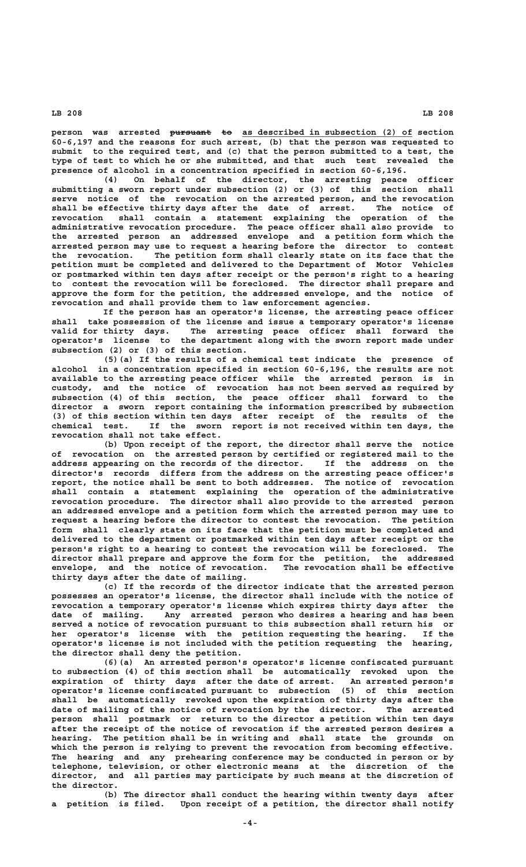person was arrested <del>pursuant to</del> as described in subsection (2) of section **60-6,197 and the reasons for such arrest, (b) that the person was requested to submit to the required test, and (c) that the person submitted to a test, the type of test to which he or she submitted, and that such test revealed the presence of alcohol in a concentration specified in section 60-6,196.**

**(4) On behalf of the director, the arresting peace officer submitting a sworn report under subsection (2) or (3) of this section shall serve notice of the revocation on the arrested person, and the revocation shall be effective thirty days after the date of arrest. The notice of revocation shall contain a statement explaining the operation of the administrative revocation procedure. The peace officer shall also provide to the arrested person an addressed envelope and a petition form which the arrested person may use to request a hearing before the director to contest the revocation. The petition form shall clearly state on its face that the petition must be completed and delivered to the Department of Motor Vehicles or postmarked within ten days after receipt or the person's right to a hearing to contest the revocation will be foreclosed. The director shall prepare and approve the form for the petition, the addressed envelope, and the notice of revocation and shall provide them to law enforcement agencies.**

**If the person has an operator's license, the arresting peace officer shall take possession of the license and issue a temporary operator's license valid for thirty days. The arresting peace officer shall forward the operator's license to the department along with the sworn report made under subsection (2) or (3) of this section.**

**(5)(a) If the results of a chemical test indicate the presence of alcohol in a concentration specified in section 60-6,196, the results are not available to the arresting peace officer while the arrested person is in custody, and the notice of revocation has not been served as required by subsection (4) of this section, the peace officer shall forward to the director a sworn report containing the information prescribed by subsection (3) of this section within ten days after receipt of the results of the chemical test. If the sworn report is not received within ten days, the revocation shall not take effect.**

**(b) Upon receipt of the report, the director shall serve the notice of revocation on the arrested person by certified or registered mail to the address appearing on the records of the director. If the address on the director's records differs from the address on the arresting peace officer's report, the notice shall be sent to both addresses. The notice of revocation shall contain a statement explaining the operation of the administrative revocation procedure. The director shall also provide to the arrested person an addressed envelope and a petition form which the arrested person may use to request a hearing before the director to contest the revocation. The petition form shall clearly state on its face that the petition must be completed and delivered to the department or postmarked within ten days after receipt or the person's right to a hearing to contest the revocation will be foreclosed. The director shall prepare and approve the form for the petition, the addressed envelope, and the notice of revocation. The revocation shall be effective thirty days after the date of mailing.**

**(c) If the records of the director indicate that the arrested person possesses an operator's license, the director shall include with the notice of revocation a temporary operator's license which expires thirty days after the date of mailing. Any arrested person who desires a hearing and has been served a notice of revocation pursuant to this subsection shall return his or** her operator's license with the petition requesting the hearing. **operator's license is not included with the petition requesting the hearing, the director shall deny the petition.**

**(6)(a) An arrested person's operator's license confiscated pursuant to subsection (4) of this section shall be automatically revoked upon the expiration of thirty days after the date of arrest. An arrested person's operator's license confiscated pursuant to subsection (5) of this section shall be automatically revoked upon the expiration of thirty days after the date of mailing of the notice of revocation by the director. The arrested person shall postmark or return to the director a petition within ten days after the receipt of the notice of revocation if the arrested person desires a hearing. The petition shall be in writing and shall state the grounds on which the person is relying to prevent the revocation from becoming effective. The hearing and any prehearing conference may be conducted in person or by telephone, television, or other electronic means at the discretion of the director, and all parties may participate by such means at the discretion of the director.**

**(b) The director shall conduct the hearing within twenty days after a petition is filed. Upon receipt of a petition, the director shall notify**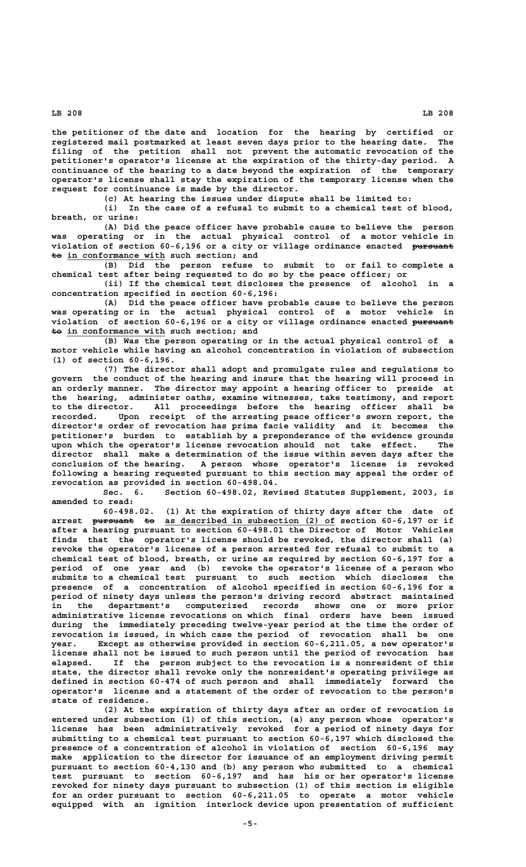**the petitioner of the date and location for the hearing by certified or registered mail postmarked at least seven days prior to the hearing date. The filing of the petition shall not prevent the automatic revocation of the petitioner's operator's license at the expiration of the thirty-day period. A continuance of the hearing to a date beyond the expiration of the temporary operator's license shall stay the expiration of the temporary license when the request for continuance is made by the director.**

**(c) At hearing the issues under dispute shall be limited to:**

**(i) In the case of a refusal to submit to a chemical test of blood, breath, or urine:**

**(A) Did the peace officer have probable cause to believe the person was operating or in the actual physical control of a motor vehicle in violation of section 60-6,196 or a city or village ordinance enacted pursuant ———————— —— \_\_\_\_\_\_\_\_\_\_\_\_\_\_\_\_\_\_\_ to in conformance with such section; and**

**(B) Did the person refuse to submit to or fail to complete a chemical test after being requested to do so by the peace officer; or**

**(ii) If the chemical test discloses the presence of alcohol in a concentration specified in section 60-6,196:**

**(A) Did the peace officer have probable cause to believe the person was operating or in the actual physical control of a motor vehicle in violation of section 60-6,196 or a city or village ordinance enacted pursuant ————————**  $\overline{+}$   $\overline{0}$  in conformance with such section; and

**(B) Was the person operating or in the actual physical control of a motor vehicle while having an alcohol concentration in violation of subsection (1) of section 60-6,196.**

**(7) The director shall adopt and promulgate rules and regulations to govern the conduct of the hearing and insure that the hearing will proceed in an orderly manner. The director may appoint a hearing officer to preside at the hearing, administer oaths, examine witnesses, take testimony, and report to the director. All proceedings before the hearing officer shall be recorded. Upon receipt of the arresting peace officer's sworn report, the director's order of revocation has prima facie validity and it becomes the petitioner's burden to establish by a preponderance of the evidence grounds upon which the operator's license revocation should not take effect. The director shall make a determination of the issue within seven days after the conclusion of the hearing. A person whose operator's license is revoked following a hearing requested pursuant to this section may appeal the order of revocation as provided in section 60-498.04.**

**Sec. 6. Section 60-498.02, Revised Statutes Supplement, 2003, is amended to read:**

**60-498.02. (1) At the expiration of thirty days after the date of arrest <del>pursuant</del> to as described in subsection (2) of section 60-6,197 or if after a hearing pursuant to section 60-498.01 the Director of Motor Vehicles finds that the operator's license should be revoked, the director shall (a) revoke the operator's license of a person arrested for refusal to submit to a chemical test of blood, breath, or urine as required by section 60-6,197 for a period of one year and (b) revoke the operator's license of a person who submits to a chemical test pursuant to such section which discloses the presence of a concentration of alcohol specified in section 60-6,196 for a period of ninety days unless the person's driving record abstract maintained in the department's computerized records shows one or more prior administrative license revocations on which final orders have been issued during the immediately preceding twelve-year period at the time the order of revocation is issued, in which case the period of revocation shall be one year. Except as otherwise provided in section 60-6,211.05, a new operator's license shall not be issued to such person until the period of revocation has elapsed. If the person subject to the revocation is a nonresident of this state, the director shall revoke only the nonresident's operating privilege as defined in section 60-474 of such person and shall immediately forward the operator's license and a statement of the order of revocation to the person's state of residence.**

**(2) At the expiration of thirty days after an order of revocation is entered under subsection (1) of this section, (a) any person whose operator's license has been administratively revoked for a period of ninety days for submitting to a chemical test pursuant to section 60-6,197 which disclosed the presence of a concentration of alcohol in violation of section 60-6,196 may make application to the director for issuance of an employment driving permit pursuant to section 60-4,130 and (b) any person who submitted to a chemical test pursuant to section 60-6,197 and has his or her operator's license revoked for ninety days pursuant to subsection (1) of this section is eligible for an order pursuant to section 60-6,211.05 to operate a motor vehicle equipped with an ignition interlock device upon presentation of sufficient**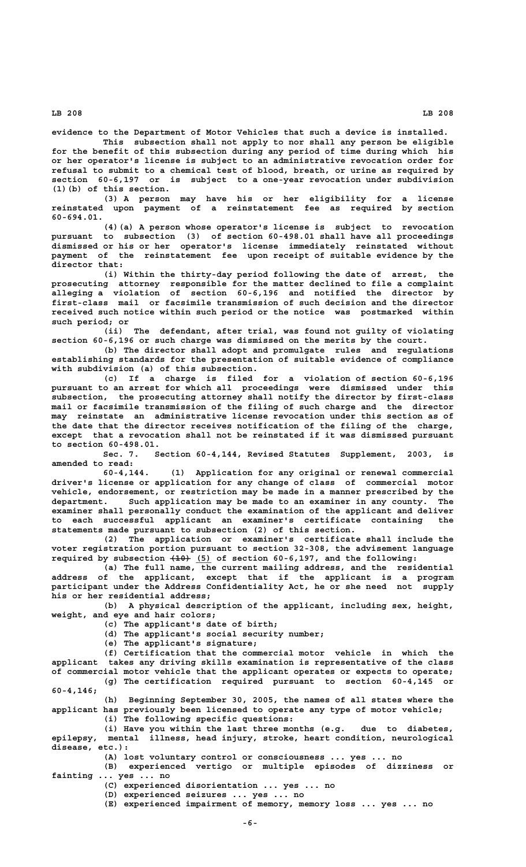**evidence to the Department of Motor Vehicles that such a device is installed.**

**This subsection shall not apply to nor shall any person be eligible for the benefit of this subsection during any period of time during which his or her operator's license is subject to an administrative revocation order for refusal to submit to a chemical test of blood, breath, or urine as required by section 60-6,197 or is subject to a one-year revocation under subdivision (1)(b) of this section.**

**(3) A person may have his or her eligibility for a license reinstated upon payment of a reinstatement fee as required by section 60-694.01.**

**(4)(a) A person whose operator's license is subject to revocation pursuant to subsection (3) of section 60-498.01 shall have all proceedings dismissed or his or her operator's license immediately reinstated without payment of the reinstatement fee upon receipt of suitable evidence by the director that:**

**(i) Within the thirty-day period following the date of arrest, the prosecuting attorney responsible for the matter declined to file a complaint alleging a violation of section 60-6,196 and notified the director by first-class mail or facsimile transmission of such decision and the director received such notice within such period or the notice was postmarked within such period; or**

**(ii) The defendant, after trial, was found not guilty of violating section 60-6,196 or such charge was dismissed on the merits by the court.**

**(b) The director shall adopt and promulgate rules and regulations establishing standards for the presentation of suitable evidence of compliance with subdivision (a) of this subsection.**

**(c) If a charge is filed for a violation of section 60-6,196 pursuant to an arrest for which all proceedings were dismissed under this subsection, the prosecuting attorney shall notify the director by first-class mail or facsimile transmission of the filing of such charge and the director may reinstate an administrative license revocation under this section as of the date that the director receives notification of the filing of the charge, except that a revocation shall not be reinstated if it was dismissed pursuant to section 60-498.01.**

**Sec. 7. Section 60-4,144, Revised Statutes Supplement, 2003, is amended to read:**

**60-4,144. (1) Application for any original or renewal commercial driver's license or application for any change of class of commercial motor vehicle, endorsement, or restriction may be made in a manner prescribed by the department. Such application may be made to an examiner in any county. The examiner shall personally conduct the examination of the applicant and deliver to each successful applicant an examiner's certificate containing the statements made pursuant to subsection (2) of this section.**

**(2) The application or examiner's certificate shall include the voter registration portion pursuant to section 32-308, the advisement language** required by subsection  $\overline{(40)}$  (5) of section 60-6,197, and the following:

**(a) The full name, the current mailing address, and the residential address of the applicant, except that if the applicant is a program participant under the Address Confidentiality Act, he or she need not supply his or her residential address;**

**(b) A physical description of the applicant, including sex, height, weight, and eye and hair colors;**

**(c) The applicant's date of birth;**

**(d) The applicant's social security number;**

**(e) The applicant's signature;**

**(f) Certification that the commercial motor vehicle in which the applicant takes any driving skills examination is representative of the class of commercial motor vehicle that the applicant operates or expects to operate; (g) The certification required pursuant to section 60-4,145 or 60-4,146;**

**(h) Beginning September 30, 2005, the names of all states where the applicant has previously been licensed to operate any type of motor vehicle; (i) The following specific questions:**

**(i) Have you within the last three months (e.g. due to diabetes, epilepsy, mental illness, head injury, stroke, heart condition, neurological disease, etc.):**

**(A) lost voluntary control or consciousness ... yes ... no**

**(B) experienced vertigo or multiple episodes of dizziness or fainting ... yes ... no**

**(C) experienced disorientation ... yes ... no**

**(D) experienced seizures ... yes ... no**

**(E) experienced impairment of memory, memory loss ... yes ... no**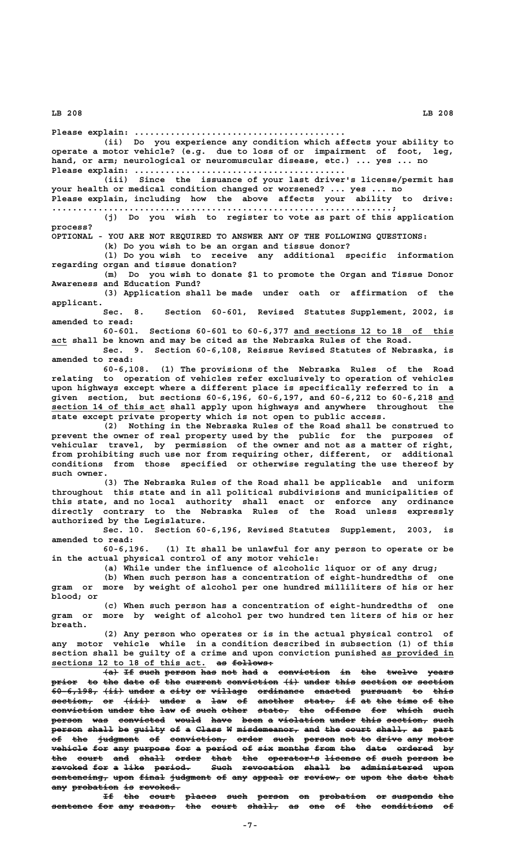**Please explain: ......................................... (ii) Do you experience any condition which affects your ability to operate a motor vehicle? (e.g. due to loss of or impairment of foot, leg, hand, or arm; neurological or neuromuscular disease, etc.) ... yes ... no Please explain: ......................................... (iii) Since the issuance of your last driver's license/permit has your health or medical condition changed or worsened? ... yes ... no Please explain, including how the above affects your ability to drive: ..................................................................; (j) Do you wish to register to vote as part of this application process? OPTIONAL - YOU ARE NOT REQUIRED TO ANSWER ANY OF THE FOLLOWING QUESTIONS: (k) Do you wish to be an organ and tissue donor? (l) Do you wish to receive any additional specific information regarding organ and tissue donation? (m) Do you wish to donate \$1 to promote the Organ and Tissue Donor Awareness and Education Fund? (3) Application shall be made under oath or affirmation of the applicant. Sec. 8. Section 60-601, Revised Statutes Supplement, 2002, is amended to read: 60-601. Sections 60-601 to 60-6,377 and sections 12 to 18 of this \_\_\_\_\_\_\_\_\_\_\_\_\_\_\_\_\_\_\_\_\_\_\_\_\_\_\_\_\_\_\_ \_\_\_ act shall be known and may be cited as the Nebraska Rules of the Road. Sec. 9. Section 60-6,108, Reissue Revised Statutes of Nebraska, is amended to read: 60-6,108. (1) The provisions of the Nebraska Rules of the Road relating to operation of vehicles refer exclusively to operation of vehicles upon highways except where a different place is specifically referred to in a given section, but sections 60-6,196, 60-6,197, and 60-6,212 to 60-6,218 and \_\_\_** section 14 of this act shall apply upon highways and anywhere throughout the **state except private property which is not open to public access. (2) Nothing in the Nebraska Rules of the Road shall be construed to prevent the owner of real property used by the public for the purposes of vehicular travel, by permission of the owner and not as a matter of right, from prohibiting such use nor from requiring other, different, or additional conditions from those specified or otherwise regulating the use thereof by such owner. (3) The Nebraska Rules of the Road shall be applicable and uniform throughout this state and in all political subdivisions and municipalities of this state, and no local authority shall enact or enforce any ordinance directly contrary to the Nebraska Rules of the Road unless expressly authorized by the Legislature. Sec. 10. Section 60-6,196, Revised Statutes Supplement, 2003, is amended to read: 60-6,196. (1) It shall be unlawful for any person to operate or be in the actual physical control of any motor vehicle: (a) While under the influence of alcoholic liquor or of any drug; (b) When such person has a concentration of eight-hundredths of one gram or more by weight of alcohol per one hundred milliliters of his or her blood; or (c) When such person has a concentration of eight-hundredths of one gram or more by weight of alcohol per two hundred ten liters of his or her breath. (2) Any person who operates or is in the actual physical control of any motor vehicle while in a condition described in subsection (1) of this section shall be guilty of a crime and upon conviction punished as provided in \_\_\_\_\_\_\_\_\_\_\_\_\_\_** sections 12 to 18 of this act. as follows: **(a) If such person has not had a conviction in the twelve years ——— —— ———— —————— ——— ——— ——— — —————————— —— ——— —————— ————** prior to the date of the current conviction  $(i)$  under this section or section **60-6,198, (ii) under a city or village ordinance enacted pursuant to this ————————— ———— ————— — ———— —— ——————— ————————— ——————— ———————— —— ——— section, or (iii) under a law of another state, if at the time of the ———————— —— ————— ————— — ——— —— ——————— —————— —— —— ——— ———— —— —— conviction under the law of such other state, the offense for which such —————————— ————— ——— ——— —— ———— ————— —————— ——— ——————— ——— ————— ———** person was convicted would have been a violation under this section, such **P**<br>Person shall be guilty of a Class W misdemeanor, and the court shall, as part **of the judgment of conviction, order such person not to drive any motor —— ——— ———————— —— ——————————— ————— ———— —————— ——— —— ————— ——— ———— vehicle for any purpose for a period of six months from the date ordered by the court and shall order that the operator's license of such person be ——— ————— ——— ————— ————— ———— ——— —————————— ——————— —— ———— —————— — revoked for a like period. Such revocation shall be administered upon ——————— ——— — ———— ——————— ———— —————————— ————— —— ———————————— ———**  $s$  ontencing, upon final judgment of any appeal or review, or upon the date that

**If the court places such person on probation or suspends the —— ——— ————— —————— ———— —————— —— ————————— —— ———————— —— sentence for any reason, the court shall, as one of the conditions of ———————— ——— ——— ——————— ——— ————— —————— —— ——— —— ——— —————————— ——**

any probation is revoked.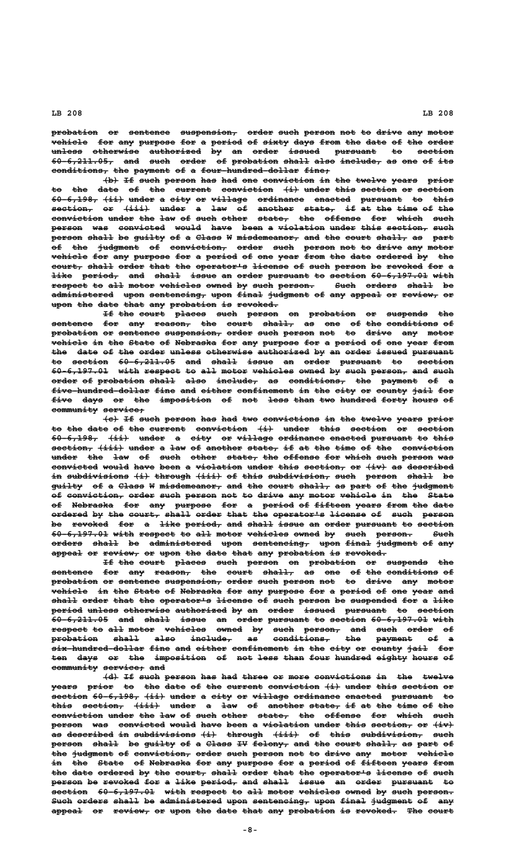probation or sentence suspension, order such person not to drive any motor vehicle for any purpose for a period of sixty days from the date of the order **unless otherwise authorized by an order issued pursuant to section —————— ————————— —————————— —— —— ————— —————— ———————— —— ——————— 60-6,211.05, and such order of probation shall also include, as one of its ———————————— ——— ———— ————— —— ————————— ————— ———— ———————— —— ——— —— ——**  $conditions$ , the payment of a four-hundred-dollar fine,

 $\left\{\text{b}\right\}$  If such person has had one conviction in the twelve years prior to the date of the current conviction  $(i)$  under this section or section **60-6,198, (ii) under a city or village ordinance enacted pursuant to this ————————— ———— ————— — ———— —— ——————— ————————— ——————— ———————— —— ——— section, or (iii) under a law of another state, if at the time of the ———————— —— ————— ————— — ——— —— ——————— —————— —— —— ——— ———— —— —— conviction under the law of such other state, the offense for which such —————————— ————— ——— ——— —— ———— ————— —————— ——— ——————— ——— ————— ——— person was convicted would have been a violation under this section, such —————— ——— ————————— ————— ———— ———— — ————————— ————— ———— ———————— ———— Person shall be guilty of a Class W misdemeanor, and the court shall, as part**  $\overline{\phantom{a}}$  the judgment of conviction, order such person not to drive any motor **vehicle for any purpose for a period of one year from the date ordered by the** court, shall order that the operator's license of such person be revoked for a **like** period, and shall issue an order pursuant to section 60 6,197.01 with respect to all motor vehicles owned by such person. <br>
<br> **Example 5 and 5 and 5 and 7 and 7 and 7 and 7 and 7 and 7 and 7 and 7 and 7 and 7 and 7 and 7 and 7 and 7 and 7** administered upon sentencing, upon final judgment of any appeal or review, or **upon the date that any probation is revoked. ———— ——— ———— ———— ——— ————————— —— ————————**

If the court places such person on probation or suspends the sentence for any reason, the court shall, as one of the conditions of probation or sentence suspension, order such person not to drive any motor  $whilele in the State of Nebraska for any purpose for a period of one year from.$ </u> the date of the order unless otherwise authorized by an order issued pursuant to section 60-6,211.05 and shall issue an order pursuant to section **60-6,197.01 with respect to all motor vehicles owned by such person, and such ——————————— ———— ——————— —— ——— ————— ———————— ————— —— ———— ——————— ——— ———** order of probation shall also include, as conditions, the payment of a five hundred dollar fine and either confinement in the city or county jail for **five days or the imposition of not less than two hundred forty hours of ———— ———— —— ——— —————————— —— ——— ———— ———— ——— ——————— ————— ————— —** community service;

 $\left\{\epsilon\right\}$  If such person has had two convictions in the twelve years prior to the date of the current conviction  $\{i\}$  under this section or section **60-6,198, (ii) under a city or village ordinance enacted pursuant to this ————————— ———— ————— — ———— —— ——————— ————————— ——————— ———————— —— ———**  $s$  **example**  $s$   $\{i:i\}$  and  $\in$   $A$   $\leq$   $A$   $\leq$   $A$   $\leq$   $B$   $\leq$   $A$   $\leq$   $B$   $\leq$   $A$   $\leq$   $B$   $\leq$   $A$   $\leq$   $B$   $\leq$   $A$   $\leq$   $B$   $\leq$   $A$   $\leq$   $A$   $\leq$   $A$   $\leq$   $A$   $\leq$   $A$   $\leq$   $A$   $\leq$   $A$   $\$ under the law of such other state, the offense for which such person was convicted would have been a violation under this section, or  $\{iv\}$  as described in subdivisions (i) through (iii) of this subdivision, such person shall be guilty of a Class W misdemeanor, and the court shall, as part of the judgment of conviction, order such person not to drive any motor vehicle in the State **of Nebraska for any purpose for a period of fifteen years from the date —— ———————— ——— ——— ——————— ——— — —————— —— ——————— ————— ———— ——— ———** ordered by the court, shall order that the operator's license of such person be revoked for a like period, and shall issue an order pursuant to section **60-6,197.01 with respect to all motor vehicles owned by such person. Such ——————————— ———— ——————— —— ——— ————— ———————— ————— —— ———— ——————— ——— orders shall be administered upon sentencing, upon final judgment of any —————— ————— —— ———————————— ———— ——————————— ———— ————— ———————— —— ——** appeal or review, or upon the date that any probation is revoked.

If the court places such person on probation or suspends the sentence for any reason, the court shall, as one of the conditions of probation or sentence suspension, order such person not to drive any motor vehicle in the State of Nebraska for any purpose for a period of one year and  $$ **period unless otherwise authorized by an order issued pursuant to section —————— —————— ————————— —————————— —— —— ————— —————— ———————— —— ——————— 60-6,211.05 and shall issue an order pursuant to section 60-6,197.01 with ——————————— ——— ————— ————— —— ————— ———————— —— ——————— ——————————— ——— respect to all motor vehicles owned by such person, and such order of ——————— —— ——— ————— ———————— ————— —— ———— ——————— ——— ———— ————— — probation shall also include, as conditions, the payment of a ————————— ————— ———— ———————— —— ——————————— ——— ——————— —— six-hundred-dollar fine and either confinement in the city or county jail for** ten days or the imposition of not less than four hundred eighty hours of community service; and

 $\{d\}$  If such person has had three or more convictions in the twelve **years** prior to the date of the current conviction  $\{i\}$  under this section or  $section 60-6,198,$   $(i\texttt{i})$  under a city or village ordinance enacted pursuant to this section,  $(iii)$  under a law of another state, if at the time of the conviction under the law of such other state, the offense for which such person was convicted would have been a violation under this section, or  $\{\pm v\}$ as described in subdivisions (i) through (iii) of this subdivision, such person shall be guilty of a Class IV felony, and the court shall, as part of the judgment of conviction, order such person not to drive any motor vehicle in the State of Nebraska for any purpose for a period of fifteen years from the date ordered by the court, shall order that the operator's license of such **person be revoked for a like period, and shall issue an order pursuant to —————— —— ——————— ——— — ———— ——————— ——— ————— ————— —— ————— ———————— — section** 60-6,197.01 with respect to all motor vehicles owned by such person. Such orders shall be administered upon sentencing, upon final judgment of any appeal or review, or upon the date that any probation is revoked. The court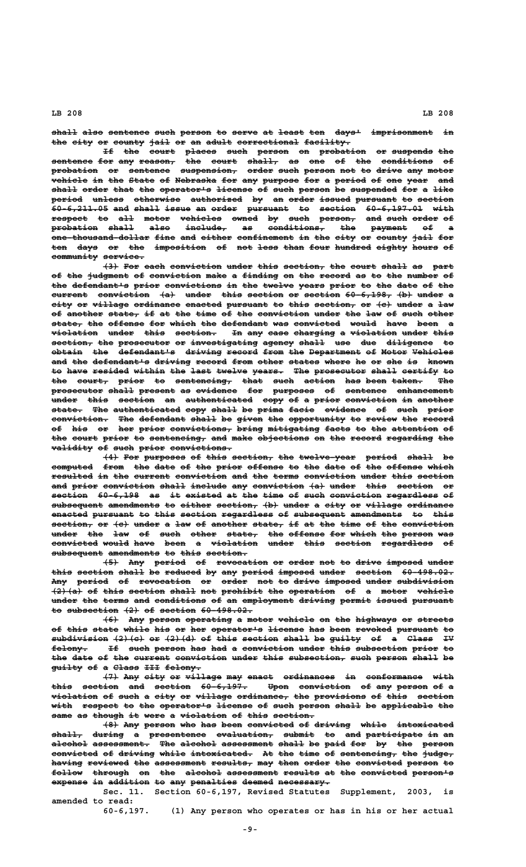**shall also sentence such person to serve at least ten days' imprisonment in ————— ———— ———————— ———— —————— —— ————— —— ————— ——— ————— ———————————— —** the city or county jail or an adult correctional facility.

If the court places such person on probation or suspends the **sentence for any reason, the court shall, as one of the conditions of ———————— ——— ——— ——————— ——— ————— —————— —— ——— —— ——— —————————— — probation or sentence suspension, order such person not to drive any motor ————————— —— ———————— ——————————— ————— ———— —————— ——— —— ————— ——— ———— vehicle in the State of Nebraska for any purpose for a period of one year and ——————— —— ——— ————— —— ———————— ——— ——— ——————— ——— — —————— —— ——— ———— ———**  $$ period unless otherwise authorized by an order issued pursuant to section **60-6,211.05 and shall issue an order pursuant to section 60-6,197.01 with ——————————— ——— ————— ————— —— ————— ———————— —— ——————— ——————————— ——— respect to all motor vehicles owned by such person, and such order of ——————— —— ——— ————— ———————— ————— —— ———— ——————— ——— ———— ————— — probation shall also include, as conditions, the payment of a ————————— ————— ———— ———————— —— ——————————— ——— ——————— —— —** -<br> **One-thousand-dollar fine and either confinement in the city or county jail for** ten days or the imposition of not less than four hundred eighty hours of community service.

 $\{3\}$  For each conviction under this section, the court shall as part of the judgment of conviction make a finding on the record as to the number of the defendant's prior convictions in the twelve years prior to the date of the current conviction (a) under this section or section 60-6,198, (b) under a city or village ordinance enacted pursuant to this section, or  $\{e\}$  under a law of another state, if at the time of the conviction under the law of such other  $\texttt{state}, \texttt{the}$  offense for which the defendant was convicted would have been a  $\textbf{v}$ iolation under this section. In any case charging a violation under this  $\texttt{section}\_\texttt{r}$  the prosecutor or investigating agency shall use due diligence to  $obtain$  the defendant's driving record from the Department of Motor Vehicles and the defendant's driving record from other states where he or she is known to have resided within the last twelve years. The prosecutor shall certify to the court, prior to sentencing, that such action has been taken. The prosecutor shall present as evidence for purposes of sentence enhancement **That this section an authenticated copy of a prior conviction in another state. The authenticated copy shall be prima facie evidence of such prior —————— ——— ————————————— ———— ————— —— ————— ————— ———————— —— ———— ————** conviction. The defendant shall be given the opportunity to review the record **of his or her prior convictions, bring mitigating facts to the attention of —— ——— —— ——— ————— ———————————— ————— —————————— ————— —— ——— ————————— —** the court prior to sentencing, and make objections on the record regarding the  $validity of such prior contributions.$ </u>

**(4) For purposes of this section, the twelve year period shall be computed from the date of the prior offense to the date of the offense which ———————— ———— ——— ———— —— ——— ————— ——————— —— ——— ———— —— ——— ——————— ————** resulted in the current conviction and the terms conviction under this section and prior conviction shall include any conviction  $\{a\}$  under this section or section 60-6,198 as it existed at the time of such conviction regardless of  ${\tt subsequence}$  amendments to either section,  $\{\tt b\}$  under a city or village ordinance enacted pursuant to this section regardless of subsequent amendments to this **section, or (c) under a law of another state, if at the time of the conviction ———————— —— ——— ————— — ——— —— ——————— —————— —— —— ——— ———— —— ——— ————————— under the law of such other state, the offense for which the person was ————— ——— ——— —— ———— ————— —————— ——— ——————— ——— ————— ——— —————— —— convicted would have been a violation under this section regardless of ————————— ————— ———— ———— — ————————— ————— ———— ——————— —————————— —**  $subsequent$  amendments to this section.

 $\left\{\frac{5}{2}\right\}$  Any period of revocation or order not to drive imposed under this section shall be reduced by any period imposed under section 60-498.02. Any period of revocation or order not to drive imposed under subdivision  $\overline{+2}$  of this section shall not prohibit the operation of a motor vehicle under the terms and conditions of an employment driving permit issued pursuant to subsection  $(2)$  of section 60-498.02.

 $\{6\}$  Any person operating a motor vehicle on the highways or streets of this state while his or her operator's license has been revoked pursuant to subdivision (2)(c) or (2)(d) of this section shall be guilty of a Class IV felony. If such person has had a conviction under this subsection prior to the date of the current conviction under this subsection, such person shall be guilty of a Class III felony.

 $\left(7\right)$  Any city or village may enact ordinances in conformance with this section and section 60-6,197. Upon conviction of any person of a  $v$ iolation of such a city or village ordinance, the provisions of this section with respect to the operator's license of such person shall be applicable the same as though it were a violation of this section.

 $\left\{\text{8}\right\}$  Any person who has been convicted of driving while intoxicated **shall, during a presentence evaluation, submit to and participate in an —————— —————— — ——————————— ——————————— —————— —— ——— ——————————— —— — alcohol assessment. The alcohol assessment shall be paid for by the person ——————— ——————————— ——— ——————— —————————— ————— —— ———— ——— —— ——— —————** convicted of driving while intoxicated. At the time of sentencing, the judge, having reviewed the assessment results, may then order the convicted person to follow through on the alcohol assessment results at the convicted person<sup>1</sup>s expense in addition to any penalties deemed necessary.

**Sec. 11. Section 60-6,197, Revised Statutes Supplement, 2003, is amended to read:**

**60-6,197. (1) Any person who operates or has in his or her actual**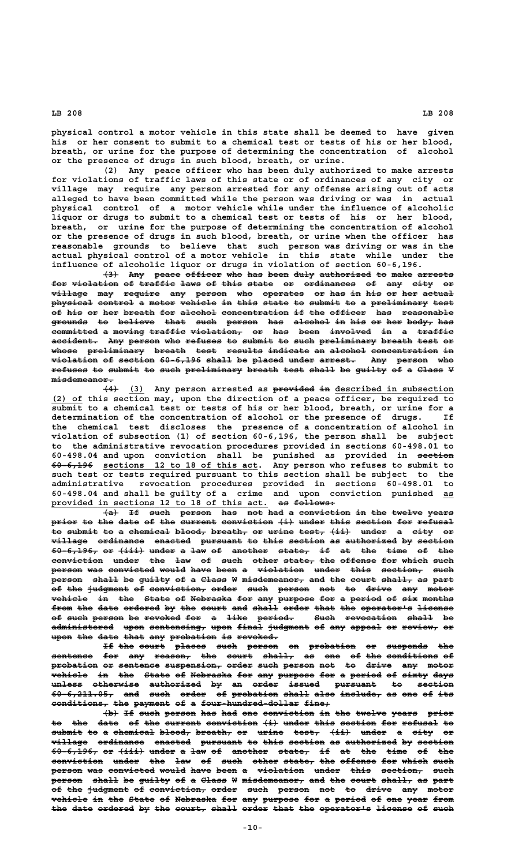**physical control a motor vehicle in this state shall be deemed to have given his or her consent to submit to a chemical test or tests of his or her blood, breath, or urine for the purpose of determining the concentration of alcohol**

**or the presence of drugs in such blood, breath, or urine. (2) Any peace officer who has been duly authorized to make arrests for violations of traffic laws of this state or of ordinances of any city or village may require any person arrested for any offense arising out of acts alleged to have been committed while the person was driving or was in actual physical control of a motor vehicle while under the influence of alcoholic liquor or drugs to submit to a chemical test or tests of his or her blood, breath, or urine for the purpose of determining the concentration of alcohol or the presence of drugs in such blood, breath, or urine when the officer has reasonable grounds to believe that such person was driving or was in the actual physical control of a motor vehicle in this state while under the influence of alcoholic liquor or drugs in violation of section 60-6,196.**

 $\left\{\frac{3}{4}\right\}$  Any peace officer who has been duly authorized to make arrests for violation of traffic laws of this state or ordinances of any city or  $v$ illage may require any person who operates or has in his or her actual physical control a motor vehicle in this state to submit to a preliminary test of his or her breath for alcohol concentration if the officer has reasonable grounds to believe that such person has alcohol in his or her body, has **committed a moving traffic violation, or has been involved in a traffic ————————— — —————— ——————— —————————— —— ——— ———— ———————— —— — ——————** accident. Any person who refuses to submit to such preliminary breath test or whose preliminary breath test results indicate an alcohol concentration in  $v$ iolation of section 60-6,196 shall be placed under arrest. Any person who refuses to submit to such preliminary breath test shall be guilty of a Class V  **misdemeanor. ————————————**

 $\overline{(4)}$   $\overline{(3)}$  Any person arrested as provided in described in subsection  **\_\_\_\_\_\_ (2) of this section may, upon the direction of a peace officer, be required to submit to a chemical test or tests of his or her blood, breath, or urine for a determination of the concentration of alcohol or the presence of drugs. If the chemical test discloses the presence of a concentration of alcohol in violation of subsection (1) of section 60-6,196, the person shall be subject to the administrative revocation procedures provided in sections 60-498.01 to 60-498.04 and upon conviction shall be punished as provided in section ——————— ———————— \_\_\_\_\_\_\_\_\_\_\_\_\_\_\_\_\_\_\_\_\_\_\_\_\_\_\_\_\_\_ 60-6,196 sections 12 to 18 of this act. Any person who refuses to submit to such test or tests required pursuant to this section shall be subject to the administrative revocation procedures provided in sections 60-498.01 to 60-498.04 and shall be guilty of a crime and upon conviction punished as\_\_ \_\_\_\_\_\_\_\_\_\_\_\_\_\_\_\_\_\_\_\_\_\_\_\_\_\_\_\_\_\_\_\_\_\_\_\_\_\_\_\_\_\_ —— ———————— provided in sections 12 to 18 of this act. as follows:**

**(a) If such person has not had a conviction in the twelve years ——— —— ———— —————— ——— ——— ——— — —————————— —— ——— —————— ————** prior to the date of the current conviction  $\{i\}$  under this section for refusal to submit to a chemical blood, breath, or urine test,  $\{\pm i\}$  under a city or  $v$ illage ordinance enacted pursuant to this section as authorized by section  $60-6,196$ , or  $(iii)$  under a law of another state, if at the time of the  $conviction$  under the law of such other state, the offense for which such **person was convicted would have been a violation under this section, such —————— ——— ————————— ————— ———— ———— — ————————— ————— ———— ———————— ——— person shall be guilty of a Class W misdemeanor, and the court shall, as part —————— ————— —— —————— —— — ————— — ———————————— ——— ——— ————— —————— —— ——— of the judgment of conviction, order such person not to drive any motor —— ——— ———————— —— ——————————— ————— ———— —————— ——— —— ————— ——— ———— vehicle in the State of Nebraska for any purpose for a period of six months ——————— —— ——— ————— —— ———————— ——— ——— ——————— ——— — —————— —— ——— —————** from the date ordered by the court and shall order that the operator's license **of such person be revoked for a like period. Such revocation shall be —— ———— —————— —— ——————— ——— — ———— ——————— ———— —————————— ————— —** administered upon sentencing, upon final judgment of any appeal or review, or **upon the date that any probation is revoked. ———— ——— ———— ———— ——— ————————— —— ————————**

If the court places such person on probation or suspends the sentence for any reason, the court shall, as one of the conditions of  ${\tt problem\ or\ sentence}\ {\tt sentence}\ {\tt surface}\ {\tt system}$  order suspension, order such person not to drive any motor **vehicle** in the State of Nebraska for any purpose for a period of sixty days **unless otherwise authorized by an order issued pursuant to section —————— ————————— —————————— —— —— ————— —————— ———————— —— ——————— 60-6,211.05, and such order of probation shall also include, as one of its ———————————— ——— ———— ————— —— ————————— ————— ———— ———————— —— ——— —— ——**  $conditions$ , the payment of a four-hundred-dollar fine,

 $\left\{\n \begin{array}{l}\n +\n \end{array}\n \right\}$  If such person has had one conviction in the twelve years prior to the date of the current conviction  $\{i\}$  under this section for refusal to submit to a chemical blood, breath, or urine test,  $\{ii\}$  under a city or  $\n \, \textbf{village} \quad$  ordinance cnacted pursuant to this section as authorized by section  $60-6,196$ , or  $\{\pm i\pm\}$  under a law of another state, if at the time of the **conviction under the law of such other state, the offense for which such** convenient  $\frac{1}{2}$  $\frac{1}{2}$  person was convicted would have been a violation under this section, such person shall be guilty of a Class W misdemeanor, and the court shall, as part of the judgment of conviction, order such person not to drive any motor **vehicle in the State of Nebraska for any purpose for a period of one year from** the date ordered by the court, shall order that the operator's license of such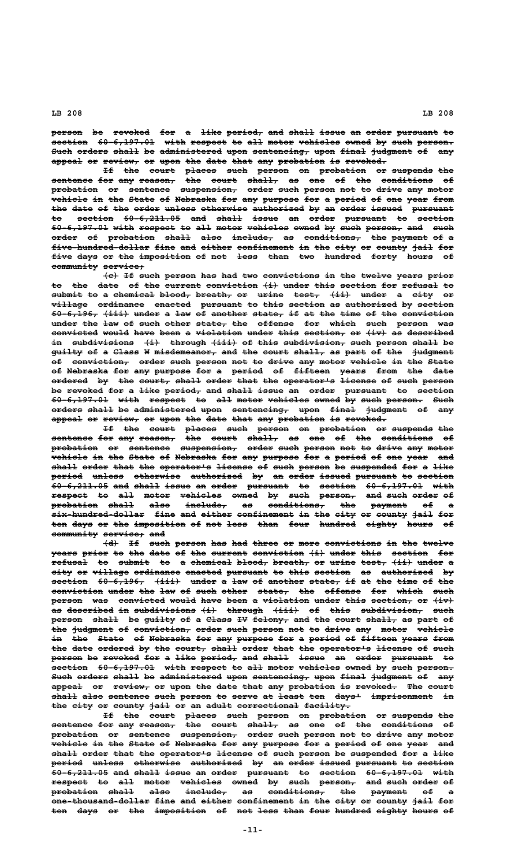person be revoked for a like period, and shall issue an order pursuant to **section** 60-6,197.01 with respect to all motor vehicles owned by such person. Such orders shall be administered upon sentencing, upon final judgment of any appeal or review, or upon the date that any probation is revoked.

If the court places such person on probation or suspends the **sentence for any reason, the court shall, as one of the conditions of ———————— ——— ——— ——————— ——— ————— —————— —— ——— —— ——— —————————— — probation or sentence suspension, order such person not to drive any motor ————————— —— ———————— ——————————— ————— ———— —————— ——— —— ————— ——— —————**  $\overline{\textbf{v}}$  wehicle in the State of Nebraska for any purpose for a period of one year from the date of the order unless otherwise authorized by an order issued pursuant **to section 60-6,211.05 and shall issue an order pursuant to section —— ——————— ——————————— ——— ————— ————— —— ————— ———————— —— ———————** 60-6,197.01 with respect to all motor vehicles owned by such person, and such order of probation shall also include, as conditions, the payment of a five-hundred-dollar fine and either confinement in the city or county jail for **five days or the imposition of not less than two hundred forty hours of ———— ———— —— ——— —————————— —— ——— ———— ———— ——— ——————— ————— ————— —** community service;

 $\{e\}$  If such person has had two convictions in the twelve years prior to the date of the current conviction  $\{i\}$  under this section for refusal to submit to a chemical blood, breath, or urine test,  $\{ii\}$  under a city or village ordinance enacted pursuant to this section as authorized by section  $60-6,196$ ,  $(iii)$  under a law of another state, if at the time of the conviction under the law of such other state, the offense for which such person was convicted would have been a violation under this section, or  $\overline{(+ \cdot)}$  as described in subdivisions (i) through (iii) of this subdivision, such person shall be guilty of a Class W misdemeanor, and the court shall, as part of the judgment of conviction, order such person not to drive any motor vehicle in the State of Nebraska for any purpose for a period of fifteen years from the date ordered by the court, shall order that the operator's license of such person be revoked for a like period, and shall issue an order pursuant to section **60-6,197.01 with respect to all motor vehicles owned by such person. Such ——————————— ———— ——————— —— ——— ————— ———————— ————— —— ———— ——————— ——— orders shall be administered upon sentencing, upon final judgment of any —————— ————— —— ———————————— ———— ——————————— ———— ————— ———————— —— ——** appeal or review, or upon the date that any probation is revoked.

**If the court places such person on probation or suspends the —— ——— ————— —————— ———— —————— —— ————————— —— ———————— —— sentence for any reason, the court shall, as one of the conditions of ———————— ——— ——— ——————— ——— ————— —————— —— ——— —— ——— —————————— — probation or sentence suspension, order such person not to drive any motor ————————— —— ———————— ——————————— ————— ———— —————— ——— —— ————— ——— ———— vehicle in the State of Nebraska for any purpose for a period of one year and** shall order that the operator's license of such person be suspended for a like period unless otherwise authorized by an order issued pursuant to section **60-6,211.05 and shall issue an order pursuant to section 60-6,197.01 with ——————————— ——— ————— ————— —— ————— ———————— —— ——————— ——————————— ——— respect to all motor vehicles owned by such person, and such order of ——————— —— ——— ————— ———————— ————— —— ———— ——————— ——— ———— ————— — probation shall also include, as conditions, the payment of a ————————— ————— ———— ———————— —— ——————————— ——— ——————— —— — .**<br><del>six hundred dollar</del> fine and either confinement in the city or county jail for</del> ten days or the imposition of not less than four hundred eighty hours of **community service; and ————————— ———————— ———**

 $\dagger$ d) If such person has had three or more convictions in the twelve **years prior to the date of the current conviction**  $\{i\}$  **under this section for**  $\texttt{refugal}$  to submit to a chemical blood, breath, or urine test,  $\{\texttt{ii}\}$  under a **city or village ordinance enacted pursuant to this section as authorized by ———— —— ——————— ————————— ——————— ———————— —— ———— ——————— —— —————————— —** section 60-6,196, (iii) under a law of another state, if at the time of the conviction under the law of such other state, the offense for which such person was convicted would have been a violation under this section, or  $\{iv\}$ as described in subdivisions (i) through (iii) of this subdivision, such person shall be guilty of a Class IV felony, and the court shall, as part of the judgment of conviction, order such person not to drive any motor vehicle in the State of Nebraska for any purpose for a period of fifteen years from the date ordered by the court, shall order that the operator's license of such person be revoked for a like period, and shall issue an order pursuant to section 60-6,197.01 with respect to all motor vehicles owned by such person. Such orders shall be administered upon sentencing, upon final judgment of any appeal or review, or upon the date that any probation is revoked. The court shall also sentence such person to serve at least ten days<sup>1</sup> imprisonment in the city or county jail or an adult correctional facility.

**If the court places such person on probation or suspends the sentence for any reason, the court shall, as one of the conditions of ———————— ——— ——— ——————— ——— ————— —————— —— ——— —— ——— —————————— — probation or sentence suspension, order such person not to drive any motor ————————— —— ———————— ——————————— ————— ———— —————— ——— —— ————— ——— —————**  $\textbf{v}$ ehi $\textbf{e}$ le in the State of Nebraska for any purpose for a period of one year  $\textbf{u}$ shall order that the operator's license of such person be suspended for a like period unless otherwise authorized by an order issued pursuant to section  $\overline{60-6,211.05}$  and shall issue an order pursuant to section  $60-6,197.01$  with **respect to all motor vehicles owned by such person, and such order of ——————— —— ——— ————— ———————— ————— —— ———— ——————— ——— ———— ————— — probation shall also include, as conditions, the payment of a ————————— ————— ———— ———————— —— ——————————— ——— ——————— ——**  one thousand dollar fine and either confinement in the city or county jail for ten days or the imposition of not less than four hundred eighty hours of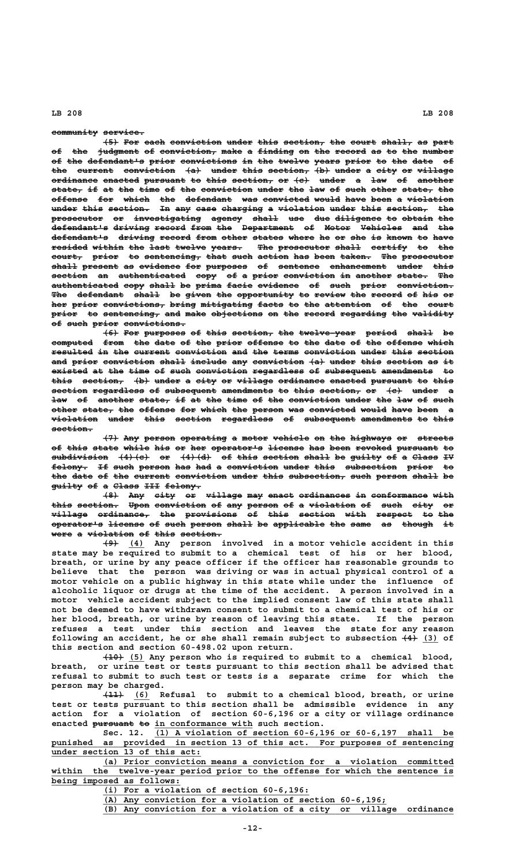### community service.

**(5) For each conviction under this section, the court shall, as part ——— ——— ———— —————————— ————— ———— ———————— ——— ————— —————— —— ———** of the judgment of conviction, make a finding on the record as to the number of the defendant's prior convictions in the twelve years prior to the date of the current conviction  $\{a\}$  under this section,  $\{b\}$  under a city or village **ordinance enacted pursuant to this section, or (c) under a law of another**  $\texttt{state}$  if at the time of the conviction under the law of such other state, the offense for which the defendant was convicted would have been a violation under this section. In any case charging a violation under this section, the prosecutor or investigating agency shall use due diligence to obtain the **defendant's driving record from the Department of Motor Vehicles and the ——————————— ——————— —————— ———— ——— —————————— —— ————— ———————— ——— ——** defendant's driving record from other states where he or she is known to have resided within the last twelve years. The prosecutor shall certify to the court, prior to sentencing, that such action has been taken. The prosecutor shall present as evidence for purposes of sentence enhancement under this **section an authenticated copy of a prior conviction in another state. The ——————— —— ————————————— ———— —— — ————— —————————— —— ——————— —————— —— authenticated copy shall be prima facie evidence of such prior conviction. ————————————— ———— ————— —— ————— ————— ———————— —— ———— ————— ———————————** The defendant shall be given the opportunity to review the record of his or her prior convictions, bring mitigating facts to the attention of the court prior to sentencing, and make objections on the record regarding the validity  $of$  such prior convictions.

**(6) For purposes of this section, the twelve-year period shall be** computed from the date of the prior offense to the date of the offense which resulted in the current conviction and the terms conviction under this section and prior conviction shall include any conviction  $\{a\}$  under this section as it **existed at the time of such conviction regardless of subsequent amendments to ——————— —— ——— ———— —— ———— —————————— —————————— —— —————————— —————————— —** this section, (b) under a city or village ordinance enacted pursuant to this  $\texttt{section} \texttt{regardless of subsequence} \texttt{amendments to this section, or (c).}$ law of another state, if at the time of the conviction under the law of such other state, the offense for which the person was convicted would have been a **violation under this section regardless of subsequent amendments to this ————————— ————— ———— ——————— —————————— —— —————————— —————————— —— ——— section. ————————**

**(7) Any person operating a motor vehicle on the highways or streets ——— ——— —————— ————————— — ————— ——————— —— ——— ———————— —— ——————** of this state while his or her operator's license has been revoked pursuant to  $s$ ubdivision  $(4)$  (c) or  $(4)$  (d) of this section shall be guilty of a Class IV felony. If such person has had a conviction under this subsection prior to the date of the current conviction under this subsection, such person shall be guilty of a Class III felony.

 $(8)$  Any city or village may enact ordinances in conformance with this section. Upon conviction of any person of a violation of such city or  $\nu$ illage ordinance, the provisions of this section with respect to the  $\frac{1}{2}$   $\frac{1}{2}$   $\frac{1}{2}$   $\frac{1}{2}$   $\frac{1}{2}$   $\frac{1}{2}$   $\frac{1}{2}$   $\frac{1}{2}$   $\frac{1}{2}$   $\frac{1}{2}$   $\frac{1}{2}$   $\frac{1}{2}$   $\frac{1}{2}$   $\frac{1}{2}$   $\frac{1}{2}$   $\frac{1}{2}$   $\frac{1}{2}$   $\frac{1}{2}$   $\frac{1}{2}$   $\frac{1}{2}$   $\frac{1}{2}$   $\frac{1}{2}$   $\$ **were a violation of this section.** 

 **——— \_\_\_ (9) (4) Any person involved in a motor vehicle accident in this state may be required to submit to a chemical test of his or her blood, breath, or urine by any peace officer if the officer has reasonable grounds to believe that the person was driving or was in actual physical control of a motor vehicle on a public highway in this state while under the influence of alcoholic liquor or drugs at the time of the accident. A person involved in a motor vehicle accident subject to the implied consent law of this state shall not be deemed to have withdrawn consent to submit to a chemical test of his or her blood, breath, or urine by reason of leaving this state. If the person refuses a test under this section and leaves the state for any reason** following an accident, he or she shall remain subject to subsection  $\{4\}$  (3) of **this section and section 60-498.02 upon return.**

 **+40)** (5) Any person who is required to submit to a chemical blood,<br>breath. or urine test or tests pursuant to this section shall be advised that **breath, or urine test or tests pursuant to this section shall be advised that refusal to submit to such test or tests is a separate crime for which the person may be charged.**

 **———— \_\_\_ (11) (6) Refusal to submit to a chemical blood, breath, or urine test or tests pursuant to this section shall be admissible evidence in any action for a violation of section 60-6,196 or a city or village ordinance** enacted pursuant to in conformance with such section.

 **\_\_\_\_\_\_\_\_\_\_\_\_\_\_\_\_\_\_\_\_\_\_\_\_\_\_\_\_\_\_\_\_\_\_\_\_\_\_\_\_\_\_\_\_\_\_\_\_\_\_\_\_\_\_\_\_\_\_ Sec. 12. (1) A violation of section 60-6,196 or 60-6,197 shall be** punished as provided in section 13 of this act. For purposes of sentencing  **\_\_\_\_\_\_\_\_\_\_\_\_\_\_\_\_\_\_\_\_\_\_\_\_\_\_\_\_\_ under section 13 of this act:**

 **\_\_\_\_\_\_\_\_\_\_\_\_\_\_\_\_\_\_\_\_\_\_\_\_\_\_\_\_\_\_\_\_\_\_\_\_\_\_\_\_\_\_\_\_\_\_\_\_\_\_\_\_\_\_\_\_\_\_\_\_\_\_\_\_\_\_\_\_ (a) Prior conviction means a conviction for a violation committed** within the twelve-year period prior to the offense for which the sentence is  **\_\_\_\_\_\_\_\_\_\_\_\_\_\_\_\_\_\_\_\_\_\_\_\_\_ being imposed as follows:**

 **\_\_\_\_\_\_\_\_\_\_\_\_\_\_\_\_\_\_\_\_\_\_\_\_\_\_\_\_\_\_\_\_\_\_\_\_\_\_\_\_ (i) For a violation of section 60-6,196:**

 **\_\_\_\_\_\_\_\_\_\_\_\_\_\_\_\_\_\_\_\_\_\_\_\_\_\_\_\_\_\_\_\_\_\_\_\_\_\_\_\_\_\_\_\_\_\_\_\_\_\_\_\_\_\_\_ (A) Any conviction for a violation of section 60-6,196;**

 **\_\_\_\_\_\_\_\_\_\_\_\_\_\_\_\_\_\_\_\_\_\_\_\_\_\_\_\_\_\_\_\_\_\_\_\_\_\_\_\_\_\_\_\_\_\_\_\_\_\_\_\_\_\_\_\_\_\_\_\_\_\_\_\_\_\_\_\_ (B) Any conviction for a violation of a city or village ordinance**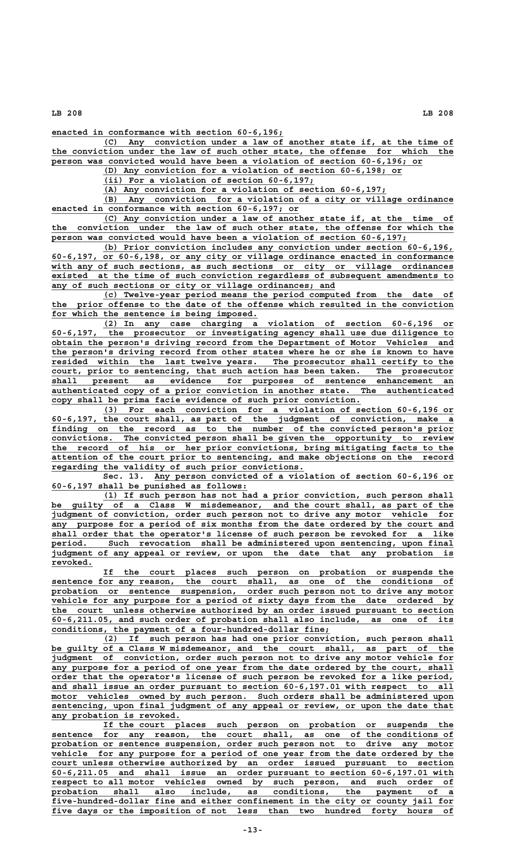**\_\_\_\_\_\_\_\_\_\_\_\_\_\_\_\_\_\_\_\_\_\_\_\_\_\_\_\_\_\_\_\_\_\_\_\_\_\_\_\_\_\_\_\_\_ enacted in conformance with section 60-6,196;**

 **\_\_\_\_\_\_\_\_\_\_\_\_\_\_\_\_\_\_\_\_\_\_\_\_\_\_\_\_\_\_\_\_\_\_\_\_\_\_\_\_\_\_\_\_\_\_\_\_\_\_\_\_\_\_\_\_\_\_\_\_\_\_\_\_\_\_\_\_ (C) Any conviction under a law of another state if, at the time of \_\_\_\_\_\_\_\_\_\_\_\_\_\_\_\_\_\_\_\_\_\_\_\_\_\_\_\_\_\_\_\_\_\_\_\_\_\_\_\_\_\_\_\_\_\_\_\_\_\_\_\_\_\_\_\_\_\_\_\_\_\_\_\_\_\_\_\_\_\_\_\_\_\_\_\_\_\_ the conviction under the law of such other state, the offense for which the \_\_\_\_\_\_\_\_\_\_\_\_\_\_\_\_\_\_\_\_\_\_\_\_\_\_\_\_\_\_\_\_\_\_\_\_\_\_\_\_\_\_\_\_\_\_\_\_\_\_\_\_\_\_\_\_\_\_\_\_\_\_\_\_\_\_\_\_\_\_\_\_ person was convicted would have been a violation of section 60-6,196; or**

 **\_\_\_\_\_\_\_\_\_\_\_\_\_\_\_\_\_\_\_\_\_\_\_\_\_\_\_\_\_\_\_\_\_\_\_\_\_\_\_\_\_\_\_\_\_\_\_\_\_\_\_\_\_\_\_\_\_\_ (D) Any conviction for a violation of section 60-6,198; or**

 **\_\_\_\_\_\_\_\_\_\_\_\_\_\_\_\_\_\_\_\_\_\_\_\_\_\_\_\_\_\_\_\_\_\_\_\_\_\_\_\_\_ (ii) For a violation of section 60-6,197;**

 **\_\_\_\_\_\_\_\_\_\_\_\_\_\_\_\_\_\_\_\_\_\_\_\_\_\_\_\_\_\_\_\_\_\_\_\_\_\_\_\_\_\_\_\_\_\_\_\_\_\_\_\_\_\_\_ (A) Any conviction for a violation of section 60-6,197;**

 **\_\_\_\_\_\_\_\_\_\_\_\_\_\_\_\_\_\_\_\_\_\_\_\_\_\_\_\_\_\_\_\_\_\_\_\_\_\_\_\_\_\_\_\_\_\_\_\_\_\_\_\_\_\_\_\_\_\_\_\_\_\_\_\_\_\_\_\_ (B) Any conviction for a violation of a city or village ordinance \_\_\_\_\_\_\_\_\_\_\_\_\_\_\_\_\_\_\_\_\_\_\_\_\_\_\_\_\_\_\_\_\_\_\_\_\_\_\_\_\_\_\_\_\_\_\_\_ enacted in conformance with section 60-6,197; or**

 **\_\_\_\_\_\_\_\_\_\_\_\_\_\_\_\_\_\_\_\_\_\_\_\_\_\_\_\_\_\_\_\_\_\_\_\_\_\_\_\_\_\_\_\_\_\_\_\_\_\_\_\_\_\_\_\_\_\_\_\_\_\_\_\_\_\_\_\_ (C) Any conviction under a law of another state if, at the time of \_\_\_\_\_\_\_\_\_\_\_\_\_\_\_\_\_\_\_\_\_\_\_\_\_\_\_\_\_\_\_\_\_\_\_\_\_\_\_\_\_\_\_\_\_\_\_\_\_\_\_\_\_\_\_\_\_\_\_\_\_\_\_\_\_\_\_\_\_\_\_\_\_\_\_\_\_\_ the conviction under the law of such other state, the offense for which the \_\_\_\_\_\_\_\_\_\_\_\_\_\_\_\_\_\_\_\_\_\_\_\_\_\_\_\_\_\_\_\_\_\_\_\_\_\_\_\_\_\_\_\_\_\_\_\_\_\_\_\_\_\_\_\_\_\_\_\_\_\_\_\_\_\_\_\_\_ person was convicted would have been a violation of section 60-6,197;**

 **\_\_\_\_\_\_\_\_\_\_\_\_\_\_\_\_\_\_\_\_\_\_\_\_\_\_\_\_\_\_\_\_\_\_\_\_\_\_\_\_\_\_\_\_\_\_\_\_\_\_\_\_\_\_\_\_\_\_\_\_\_\_\_\_\_\_\_\_ (b) Prior conviction includes any conviction under section 60-6,196, \_\_\_\_\_\_\_\_\_\_\_\_\_\_\_\_\_\_\_\_\_\_\_\_\_\_\_\_\_\_\_\_\_\_\_\_\_\_\_\_\_\_\_\_\_\_\_\_\_\_\_\_\_\_\_\_\_\_\_\_\_\_\_\_\_\_\_\_\_\_\_\_\_\_\_\_\_\_ 60-6,197, or 60-6,198, or any city or village ordinance enacted in conformance** with any of such sections, as such sections or city or village ordinances  **\_\_\_\_\_\_\_\_\_\_\_\_\_\_\_\_\_\_\_\_\_\_\_\_\_\_\_\_\_\_\_\_\_\_\_\_\_\_\_\_\_\_\_\_\_\_\_\_\_\_\_\_\_\_\_\_\_\_\_\_\_\_\_\_\_\_\_\_\_\_\_\_\_\_\_\_\_\_ existed at the time of such conviction regardless of subsequent amendments to \_\_\_\_\_\_\_\_\_\_\_\_\_\_\_\_\_\_\_\_\_\_\_\_\_\_\_\_\_\_\_\_\_\_\_\_\_\_\_\_\_\_\_\_\_\_\_\_\_\_\_\_\_\_\_ any of such sections or city or village ordinances; and**

 **\_\_\_\_\_\_\_\_\_\_\_\_\_\_\_\_\_\_\_\_\_\_\_\_\_\_\_\_\_\_\_\_\_\_\_\_\_\_\_\_\_\_\_\_\_\_\_\_\_\_\_\_\_\_\_\_\_\_\_\_\_\_\_\_\_\_\_\_ (c) Twelve-year period means the period computed from the date of \_\_\_\_\_\_\_\_\_\_\_\_\_\_\_\_\_\_\_\_\_\_\_\_\_\_\_\_\_\_\_\_\_\_\_\_\_\_\_\_\_\_\_\_\_\_\_\_\_\_\_\_\_\_\_\_\_\_\_\_\_\_\_\_\_\_\_\_\_\_\_\_\_\_\_\_\_\_ the prior offense to the date of the offense which resulted in the conviction \_\_\_\_\_\_\_\_\_\_\_\_\_\_\_\_\_\_\_\_\_\_\_\_\_\_\_\_\_\_\_\_\_\_\_\_\_\_\_\_ for which the sentence is being imposed.**

 **\_\_\_\_\_\_\_\_\_\_\_\_\_\_\_\_\_\_\_\_\_\_\_\_\_\_\_\_\_\_\_\_\_\_\_\_\_\_\_\_\_\_\_\_\_\_\_\_\_\_\_\_\_\_\_\_\_\_\_\_\_\_\_\_\_\_\_\_ (2) In any case charging a violation of section 60-6,196 or \_\_\_\_\_\_\_\_\_\_\_\_\_\_\_\_\_\_\_\_\_\_\_\_\_\_\_\_\_\_\_\_\_\_\_\_\_\_\_\_\_\_\_\_\_\_\_\_\_\_\_\_\_\_\_\_\_\_\_\_\_\_\_\_\_\_\_\_\_\_\_\_\_\_\_\_\_\_ 60-6,197, the prosecutor or investigating agency shall use due diligence to \_\_\_\_\_\_\_\_\_\_\_\_\_\_\_\_\_\_\_\_\_\_\_\_\_\_\_\_\_\_\_\_\_\_\_\_\_\_\_\_\_\_\_\_\_\_\_\_\_\_\_\_\_\_\_\_\_\_\_\_\_\_\_\_\_\_\_\_\_\_\_\_\_\_\_\_\_\_ obtain the person's driving record from the Department of Motor Vehicles and** the person's driving record from other states where he or she is known to have resided within the last twelve years. The prosecutor shall certify to the  **\_\_\_\_\_\_\_\_\_\_\_\_\_\_\_\_\_\_\_\_\_\_\_\_\_\_\_\_\_\_\_\_\_\_\_\_\_\_\_\_\_\_\_\_\_\_\_\_\_\_\_\_\_\_\_\_\_\_\_\_\_\_\_\_\_\_\_\_\_\_\_\_\_\_\_\_\_\_ court, prior to sentencing, that such action has been taken. The prosecutor \_\_\_\_\_\_\_\_\_\_\_\_\_\_\_\_\_\_\_\_\_\_\_\_\_\_\_\_\_\_\_\_\_\_\_\_\_\_\_\_\_\_\_\_\_\_\_\_\_\_\_\_\_\_\_\_\_\_\_\_\_\_\_\_\_\_\_\_\_\_\_\_\_\_\_\_\_\_ shall present as evidence for purposes of sentence enhancement an \_\_\_\_\_\_\_\_\_\_\_\_\_\_\_\_\_\_\_\_\_\_\_\_\_\_\_\_\_\_\_\_\_\_\_\_\_\_\_\_\_\_\_\_\_\_\_\_\_\_\_\_\_\_\_\_\_\_\_\_\_\_\_\_\_\_\_\_\_\_\_\_\_\_\_\_\_\_ authenticated copy of a prior conviction in another state. The authenticated \_\_\_\_\_\_\_\_\_\_\_\_\_\_\_\_\_\_\_\_\_\_\_\_\_\_\_\_\_\_\_\_\_\_\_\_\_\_\_\_\_\_\_\_\_\_\_\_\_\_\_\_\_\_\_\_\_\_\_\_ copy shall be prima facie evidence of such prior conviction.**

 **\_\_\_\_\_\_\_\_\_\_\_\_\_\_\_\_\_\_\_\_\_\_\_\_\_\_\_\_\_\_\_\_\_\_\_\_\_\_\_\_\_\_\_\_\_\_\_\_\_\_\_\_\_\_\_\_\_\_\_\_\_\_\_\_\_\_\_\_ (3) For each conviction for a violation of section 60-6,196 or \_\_\_\_\_\_\_\_\_\_\_\_\_\_\_\_\_\_\_\_\_\_\_\_\_\_\_\_\_\_\_\_\_\_\_\_\_\_\_\_\_\_\_\_\_\_\_\_\_\_\_\_\_\_\_\_\_\_\_\_\_\_\_\_\_\_\_\_\_\_\_\_\_\_\_\_\_\_ 60-6,197, the court shall, as part of the judgment of conviction, make a \_\_\_\_\_\_\_\_\_\_\_\_\_\_\_\_\_\_\_\_\_\_\_\_\_\_\_\_\_\_\_\_\_\_\_\_\_\_\_\_\_\_\_\_\_\_\_\_\_\_\_\_\_\_\_\_\_\_\_\_\_\_\_\_\_\_\_\_\_\_\_\_\_\_\_\_\_\_ finding on the record as to the number of the convicted person's prior \_\_\_\_\_\_\_\_\_\_\_\_\_\_\_\_\_\_\_\_\_\_\_\_\_\_\_\_\_\_\_\_\_\_\_\_\_\_\_\_\_\_\_\_\_\_\_\_\_\_\_\_\_\_\_\_\_\_\_\_\_\_\_\_\_\_\_\_\_\_\_\_\_\_\_\_\_\_ convictions. The convicted person shall be given the opportunity to review \_\_\_\_\_\_\_\_\_\_\_\_\_\_\_\_\_\_\_\_\_\_\_\_\_\_\_\_\_\_\_\_\_\_\_\_\_\_\_\_\_\_\_\_\_\_\_\_\_\_\_\_\_\_\_\_\_\_\_\_\_\_\_\_\_\_\_\_\_\_\_\_\_\_\_\_\_\_ the record of his or her prior convictions, bring mitigating facts to the \_\_\_\_\_\_\_\_\_\_\_\_\_\_\_\_\_\_\_\_\_\_\_\_\_\_\_\_\_\_\_\_\_\_\_\_\_\_\_\_\_\_\_\_\_\_\_\_\_\_\_\_\_\_\_\_\_\_\_\_\_\_\_\_\_\_\_\_\_\_\_\_\_\_\_\_\_\_ attention of the court prior to sentencing, and make objections on the record \_\_\_\_\_\_\_\_\_\_\_\_\_\_\_\_\_\_\_\_\_\_\_\_\_\_\_\_\_\_\_\_\_\_\_\_\_\_\_\_\_\_\_\_\_\_\_\_\_ regarding the validity of such prior convictions.**

 **\_\_\_\_\_\_\_\_\_\_\_\_\_\_\_\_\_\_\_\_\_\_\_\_\_\_\_\_\_\_\_\_\_\_\_\_\_\_\_\_\_\_\_\_\_\_\_\_\_\_\_\_\_\_\_\_\_\_ Sec. 13. Any person convicted of a violation of section 60-6,196 or \_\_\_\_\_\_\_\_\_\_\_\_\_\_\_\_\_\_\_\_\_\_\_\_\_\_\_\_\_\_\_\_\_\_\_\_\_\_ 60-6,197 shall be punished as follows:**

 **\_\_\_\_\_\_\_\_\_\_\_\_\_\_\_\_\_\_\_\_\_\_\_\_\_\_\_\_\_\_\_\_\_\_\_\_\_\_\_\_\_\_\_\_\_\_\_\_\_\_\_\_\_\_\_\_\_\_\_\_\_\_\_\_\_\_\_\_ (1) If such person has not had a prior conviction, such person shall \_\_\_\_\_\_\_\_\_\_\_\_\_\_\_\_\_\_\_\_\_\_\_\_\_\_\_\_\_\_\_\_\_\_\_\_\_\_\_\_\_\_\_\_\_\_\_\_\_\_\_\_\_\_\_\_\_\_\_\_\_\_\_\_\_\_\_\_\_\_\_\_\_\_\_\_\_\_ be guilty of a Class W misdemeanor, and the court shall, as part of the \_\_\_\_\_\_\_\_\_\_\_\_\_\_\_\_\_\_\_\_\_\_\_\_\_\_\_\_\_\_\_\_\_\_\_\_\_\_\_\_\_\_\_\_\_\_\_\_\_\_\_\_\_\_\_\_\_\_\_\_\_\_\_\_\_\_\_\_\_\_\_\_\_\_\_\_\_\_ judgment of conviction, order such person not to drive any motor vehicle for \_\_\_\_\_\_\_\_\_\_\_\_\_\_\_\_\_\_\_\_\_\_\_\_\_\_\_\_\_\_\_\_\_\_\_\_\_\_\_\_\_\_\_\_\_\_\_\_\_\_\_\_\_\_\_\_\_\_\_\_\_\_\_\_\_\_\_\_\_\_\_\_\_\_\_\_\_\_ any purpose for a period of six months from the date ordered by the court and** shall order that the operator's license of such person be revoked for a like period. Such revocation shall be administered upon sentencing, upon final Such revocation shall be administered upon sentencing, upon final  **\_\_\_\_\_\_\_\_\_\_\_\_\_\_\_\_\_\_\_\_\_\_\_\_\_\_\_\_\_\_\_\_\_\_\_\_\_\_\_\_\_\_\_\_\_\_\_\_\_\_\_\_\_\_\_\_\_\_\_\_\_\_\_\_\_\_\_\_\_\_\_\_\_\_\_\_\_\_ judgment of any appeal or review, or upon the date that any probation is revoked. \_\_\_\_\_\_\_\_**

 **\_\_\_\_\_\_\_\_\_\_\_\_\_\_\_\_\_\_\_\_\_\_\_\_\_\_\_\_\_\_\_\_\_\_\_\_\_\_\_\_\_\_\_\_\_\_\_\_\_\_\_\_\_\_\_\_\_\_\_\_\_\_\_\_\_\_\_\_ If the court places such person on probation or suspends the \_\_\_\_\_\_\_\_\_\_\_\_\_\_\_\_\_\_\_\_\_\_\_\_\_\_\_\_\_\_\_\_\_\_\_\_\_\_\_\_\_\_\_\_\_\_\_\_\_\_\_\_\_\_\_\_\_\_\_\_\_\_\_\_\_\_\_\_\_\_\_\_\_\_\_\_\_\_ sentence for any reason, the court shall, as one of the conditions of \_\_\_\_\_\_\_\_\_\_\_\_\_\_\_\_\_\_\_\_\_\_\_\_\_\_\_\_\_\_\_\_\_\_\_\_\_\_\_\_\_\_\_\_\_\_\_\_\_\_\_\_\_\_\_\_\_\_\_\_\_\_\_\_\_\_\_\_\_\_\_\_\_\_\_\_\_\_ probation or sentence suspension, order such person not to drive any motor** probation or sentence suspension, order such person not to drive any motor vehicle for any purpose for a period of sixty days from the date ordered by  **\_\_\_\_\_\_\_\_\_\_\_\_\_\_\_\_\_\_\_\_\_\_\_\_\_\_\_\_\_\_\_\_\_\_\_\_\_\_\_\_\_\_\_\_\_\_\_\_\_\_\_\_\_\_\_\_\_\_\_\_\_\_\_\_\_\_\_\_\_\_\_\_\_\_\_\_\_\_ the court unless otherwise authorized by an order issued pursuant to section \_\_\_\_\_\_\_\_\_\_\_\_\_\_\_\_\_\_\_\_\_\_\_\_\_\_\_\_\_\_\_\_\_\_\_\_\_\_\_\_\_\_\_\_\_\_\_\_\_\_\_\_\_\_\_\_\_\_\_\_\_\_\_\_\_\_\_\_\_\_\_\_\_\_\_\_\_\_ 60-6,211.05, and such order of probation shall also include, as one of its \_\_\_\_\_\_\_\_\_\_\_\_\_\_\_\_\_\_\_\_\_\_\_\_\_\_\_\_\_\_\_\_\_\_\_\_\_\_\_\_\_\_\_\_\_\_\_\_\_\_\_\_\_\_ conditions, the payment of a four-hundred-dollar fine;**

 **\_\_\_\_\_\_\_\_\_\_\_\_\_\_\_\_\_\_\_\_\_\_\_\_\_\_\_\_\_\_\_\_\_\_\_\_\_\_\_\_\_\_\_\_\_\_\_\_\_\_\_\_\_\_\_\_\_\_\_\_\_\_\_\_\_\_\_\_ (2) If such person has had one prior conviction, such person shall \_\_\_\_\_\_\_\_\_\_\_\_\_\_\_\_\_\_\_\_\_\_\_\_\_\_\_\_\_\_\_\_\_\_\_\_\_\_\_\_\_\_\_\_\_\_\_\_\_\_\_\_\_\_\_\_\_\_\_\_\_\_\_\_\_\_\_\_\_\_\_\_\_\_\_\_\_\_ be guilty of a Class W misdemeanor, and the court shall, as part of the** be guilty of a Class W misdemeanor, and the court shall, as part of the judgment of conviction, order such person not to drive any motor vehicle for any purpose for a period of one year from the date ordered by the court, shall order that the operator's license of such person be revoked for a like period,  **\_\_\_\_\_\_\_\_\_\_\_\_\_\_\_\_\_\_\_\_\_\_\_\_\_\_\_\_\_\_\_\_\_\_\_\_\_\_\_\_\_\_\_\_\_\_\_\_\_\_\_\_\_\_\_\_\_\_\_\_\_\_\_\_\_\_\_\_\_\_\_\_\_\_\_\_\_\_ and shall issue an order pursuant to section 60-6,197.01 with respect to all**  $\overline{\text{motor}}$  vehicles owned by such person. Such orders shall be administered upon sentencing, upon final judgment of any appeal or review, or upon the date that  **\_\_\_\_\_\_\_\_\_\_\_\_\_\_\_\_\_\_\_\_\_\_\_\_\_ any probation is revoked.**

 **\_\_\_\_\_\_\_\_\_\_\_\_\_\_\_\_\_\_\_\_\_\_\_\_\_\_\_\_\_\_\_\_\_\_\_\_\_\_\_\_\_\_\_\_\_\_\_\_\_\_\_\_\_\_\_\_\_\_\_\_\_\_\_\_\_\_\_\_ If the court places such person on probation or suspends the \_\_\_\_\_\_\_\_\_\_\_\_\_\_\_\_\_\_\_\_\_\_\_\_\_\_\_\_\_\_\_\_\_\_\_\_\_\_\_\_\_\_\_\_\_\_\_\_\_\_\_\_\_\_\_\_\_\_\_\_\_\_\_\_\_\_\_\_\_\_\_\_\_\_\_\_\_\_ sentence for any reason, the court shall, as one of the conditions of \_\_\_\_\_\_\_\_\_\_\_\_\_\_\_\_\_\_\_\_\_\_\_\_\_\_\_\_\_\_\_\_\_\_\_\_\_\_\_\_\_\_\_\_\_\_\_\_\_\_\_\_\_\_\_\_\_\_\_\_\_\_\_\_\_\_\_\_\_\_\_\_\_\_\_\_\_\_ probation or sentence suspension, order such person not to drive any motor** vehicle for any purpose for a period of one year from the date ordered by the  **\_\_\_\_\_\_\_\_\_\_\_\_\_\_\_\_\_\_\_\_\_\_\_\_\_\_\_\_\_\_\_\_\_\_\_\_\_\_\_\_\_\_\_\_\_\_\_\_\_\_\_\_\_\_\_\_\_\_\_\_\_\_\_\_\_\_\_\_\_\_\_\_\_\_\_\_\_\_ court unless otherwise authorized by an order issued pursuant to section \_\_\_\_\_\_\_\_\_\_\_\_\_\_\_\_\_\_\_\_\_\_\_\_\_\_\_\_\_\_\_\_\_\_\_\_\_\_\_\_\_\_\_\_\_\_\_\_\_\_\_\_\_\_\_\_\_\_\_\_\_\_\_\_\_\_\_\_\_\_\_\_\_\_\_\_\_\_ 60-6,211.05 and shall issue an order pursuant to section 60-6,197.01 with \_\_\_\_\_\_\_\_\_\_\_\_\_\_\_\_\_\_\_\_\_\_\_\_\_\_\_\_\_\_\_\_\_\_\_\_\_\_\_\_\_\_\_\_\_\_\_\_\_\_\_\_\_\_\_\_\_\_\_\_\_\_\_\_\_\_\_\_\_\_\_\_\_\_\_\_\_\_ respect to all motor vehicles owned by such person, and such order of \_\_\_\_\_\_\_\_\_\_\_\_\_\_\_\_\_\_\_\_\_\_\_\_\_\_\_\_\_\_\_\_\_\_\_\_\_\_\_\_\_\_\_\_\_\_\_\_\_\_\_\_\_\_\_\_\_\_\_\_\_\_\_\_\_\_\_\_\_\_\_\_\_\_\_\_\_\_ probation shall also include, as conditions, the payment of a \_\_\_\_\_\_\_\_\_\_\_\_\_\_\_\_\_\_\_\_\_\_\_\_\_\_\_\_\_\_\_\_\_\_\_\_\_\_\_\_\_\_\_\_\_\_\_\_\_\_\_\_\_\_\_\_\_\_\_\_\_\_\_\_\_\_\_\_\_\_\_\_\_\_\_\_\_\_ five-hundred-dollar fine and either confinement in the city or county jail for** five days or the imposition of not less than two hundred forty hours of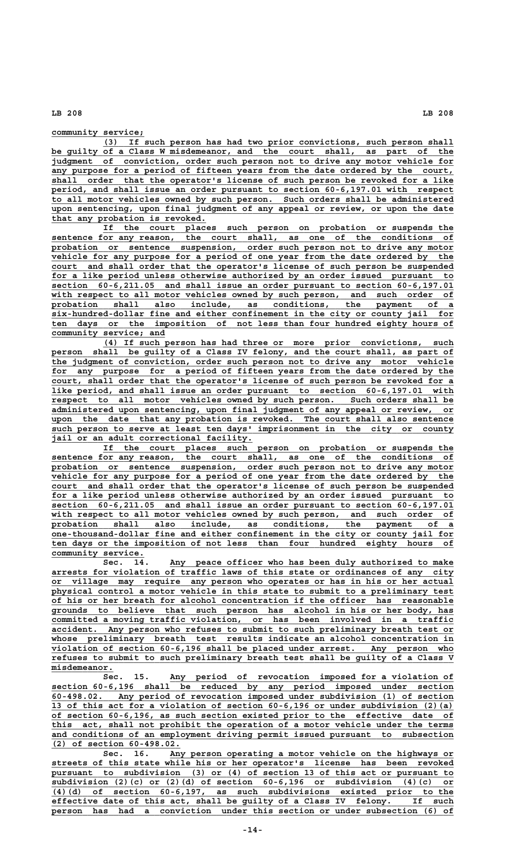community service;

 **\_\_\_\_\_\_\_\_\_\_\_\_\_\_\_\_\_\_\_\_\_\_\_\_\_\_\_\_\_\_\_\_\_\_\_\_\_\_\_\_\_\_\_\_\_\_\_\_\_\_\_\_\_\_\_\_\_\_\_\_\_\_\_\_\_\_\_\_ (3) If such person has had two prior convictions, such person shall \_\_\_\_\_\_\_\_\_\_\_\_\_\_\_\_\_\_\_\_\_\_\_\_\_\_\_\_\_\_\_\_\_\_\_\_\_\_\_\_\_\_\_\_\_\_\_\_\_\_\_\_\_\_\_\_\_\_\_\_\_\_\_\_\_\_\_\_\_\_\_\_\_\_\_\_\_\_ be guilty of a Class W misdemeanor, and the court shall, as part of the \_\_\_\_\_\_\_\_\_\_\_\_\_\_\_\_\_\_\_\_\_\_\_\_\_\_\_\_\_\_\_\_\_\_\_\_\_\_\_\_\_\_\_\_\_\_\_\_\_\_\_\_\_\_\_\_\_\_\_\_\_\_\_\_\_\_\_\_\_\_\_\_\_\_\_\_\_\_ judgment of conviction, order such person not to drive any motor vehicle for** any purpose for a period of fifteen years from the date ordered by the court,  **\_\_\_\_\_\_\_\_\_\_\_\_\_\_\_\_\_\_\_\_\_\_\_\_\_\_\_\_\_\_\_\_\_\_\_\_\_\_\_\_\_\_\_\_\_\_\_\_\_\_\_\_\_\_\_\_\_\_\_\_\_\_\_\_\_\_\_\_\_\_\_\_\_\_\_\_\_\_ shall order that the operator's license of such person be revoked for a like \_\_\_\_\_\_\_\_\_\_\_\_\_\_\_\_\_\_\_\_\_\_\_\_\_\_\_\_\_\_\_\_\_\_\_\_\_\_\_\_\_\_\_\_\_\_\_\_\_\_\_\_\_\_\_\_\_\_\_\_\_\_\_\_\_\_\_\_\_\_\_\_\_\_\_\_\_\_ period, and shall issue an order pursuant to section 60-6,197.01 with respect \_\_\_\_\_\_\_\_\_\_\_\_\_\_\_\_\_\_\_\_\_\_\_\_\_\_\_\_\_\_\_\_\_\_\_\_\_\_\_\_\_\_\_\_\_\_\_\_\_\_\_\_\_\_\_\_\_\_\_\_\_\_\_\_\_\_\_\_\_\_\_\_\_\_\_\_\_\_ to all motor vehicles owned by such person. Such orders shall be administered \_\_\_\_\_\_\_\_\_\_\_\_\_\_\_\_\_\_\_\_\_\_\_\_\_\_\_\_\_\_\_\_\_\_\_\_\_\_\_\_\_\_\_\_\_\_\_\_\_\_\_\_\_\_\_\_\_\_\_\_\_\_\_\_\_\_\_\_\_\_\_\_\_\_\_\_\_\_ upon sentencing, upon final judgment of any appeal or review, or upon the date \_\_\_\_\_\_\_\_\_\_\_\_\_\_\_\_\_\_\_\_\_\_\_\_\_\_\_\_\_\_ that any probation is revoked.**

 **\_\_\_\_\_\_\_\_\_\_\_\_\_\_\_\_\_\_\_\_\_\_\_\_\_\_\_\_\_\_\_\_\_\_\_\_\_\_\_\_\_\_\_\_\_\_\_\_\_\_\_\_\_\_\_\_\_\_\_\_\_\_\_\_\_\_\_\_ If the court places such person on probation or suspends the \_\_\_\_\_\_\_\_\_\_\_\_\_\_\_\_\_\_\_\_\_\_\_\_\_\_\_\_\_\_\_\_\_\_\_\_\_\_\_\_\_\_\_\_\_\_\_\_\_\_\_\_\_\_\_\_\_\_\_\_\_\_\_\_\_\_\_\_\_\_\_\_\_\_\_\_\_\_ sentence for any reason, the court shall, as one of the conditions of \_\_\_\_\_\_\_\_\_\_\_\_\_\_\_\_\_\_\_\_\_\_\_\_\_\_\_\_\_\_\_\_\_\_\_\_\_\_\_\_\_\_\_\_\_\_\_\_\_\_\_\_\_\_\_\_\_\_\_\_\_\_\_\_\_\_\_\_\_\_\_\_\_\_\_\_\_\_ probation or sentence suspension, order such person not to drive any motor** vehicle for any purpose for a period of one year from the date ordered by the court and shall order that the operator's license of such person be suspended  **\_\_\_\_\_\_\_\_\_\_\_\_\_\_\_\_\_\_\_\_\_\_\_\_\_\_\_\_\_\_\_\_\_\_\_\_\_\_\_\_\_\_\_\_\_\_\_\_\_\_\_\_\_\_\_\_\_\_\_\_\_\_\_\_\_\_\_\_\_\_\_\_\_\_\_\_\_\_ for a like period unless otherwise authorized by an order issued pursuant to \_\_\_\_\_\_\_\_\_\_\_\_\_\_\_\_\_\_\_\_\_\_\_\_\_\_\_\_\_\_\_\_\_\_\_\_\_\_\_\_\_\_\_\_\_\_\_\_\_\_\_\_\_\_\_\_\_\_\_\_\_\_\_\_\_\_\_\_\_\_\_\_\_\_\_\_\_\_ section 60-6,211.05 and shall issue an order pursuant to section 60-6,197.01** with respect to all motor vehicles owned by such person, and such order of probation shall also include, as conditions, the payment of a  $\overline{\text{six-hundred-dollar fine and either confinement in the city or county jail for}$  **\_\_\_\_\_\_\_\_\_\_\_\_\_\_\_\_\_\_\_\_\_\_\_\_\_\_\_\_\_\_\_\_\_\_\_\_\_\_\_\_\_\_\_\_\_\_\_\_\_\_\_\_\_\_\_\_\_\_\_\_\_\_\_\_\_\_\_\_\_\_\_\_\_\_\_\_\_\_ ten days or the imposition of not less than four hundred eighty hours of \_\_\_\_\_\_\_\_\_\_\_\_\_\_\_\_\_\_\_\_\_\_ community service; and**

 **\_\_\_\_\_\_\_\_\_\_\_\_\_\_\_\_\_\_\_\_\_\_\_\_\_\_\_\_\_\_\_\_\_\_\_\_\_\_\_\_\_\_\_\_\_\_\_\_\_\_\_\_\_\_\_\_\_\_\_\_\_\_\_\_\_\_\_\_ (4) If such person has had three or more prior convictions, such \_\_\_\_\_\_\_\_\_\_\_\_\_\_\_\_\_\_\_\_\_\_\_\_\_\_\_\_\_\_\_\_\_\_\_\_\_\_\_\_\_\_\_\_\_\_\_\_\_\_\_\_\_\_\_\_\_\_\_\_\_\_\_\_\_\_\_\_\_\_\_\_\_\_\_\_\_\_ person shall be guilty of a Class IV felony, and the court shall, as part of** person shall be guilty of a Class IV felony, and the court shall, as part of the judgment of conviction, order such person not to drive any motor vehicle  **\_\_\_\_\_\_\_\_\_\_\_\_\_\_\_\_\_\_\_\_\_\_\_\_\_\_\_\_\_\_\_\_\_\_\_\_\_\_\_\_\_\_\_\_\_\_\_\_\_\_\_\_\_\_\_\_\_\_\_\_\_\_\_\_\_\_\_\_\_\_\_\_\_\_\_\_\_\_ for any purpose for a period of fifteen years from the date ordered by the \_\_\_\_\_\_\_\_\_\_\_\_\_\_\_\_\_\_\_\_\_\_\_\_\_\_\_\_\_\_\_\_\_\_\_\_\_\_\_\_\_\_\_\_\_\_\_\_\_\_\_\_\_\_\_\_\_\_\_\_\_\_\_\_\_\_\_\_\_\_\_\_\_\_\_\_\_\_ court, shall order that the operator's license of such person be revoked for a \_\_\_\_\_\_\_\_\_\_\_\_\_\_\_\_\_\_\_\_\_\_\_\_\_\_\_\_\_\_\_\_\_\_\_\_\_\_\_\_\_\_\_\_\_\_\_\_\_\_\_\_\_\_\_\_\_\_\_\_\_\_\_\_\_\_\_\_\_\_\_\_\_\_\_\_\_\_ like period, and shall issue an order pursuant to section 60-6,197.01 with \_\_\_\_\_\_\_\_\_\_\_\_\_\_\_\_\_\_\_\_\_\_\_\_\_\_\_\_\_\_\_\_\_\_\_\_\_\_\_\_\_\_\_\_\_\_\_\_\_\_\_\_\_\_\_\_\_\_\_\_\_\_\_\_\_\_\_\_\_\_\_\_\_\_\_\_\_\_ respect to all motor vehicles owned by such person. Such orders shall be \_\_\_\_\_\_\_\_\_\_\_\_\_\_\_\_\_\_\_\_\_\_\_\_\_\_\_\_\_\_\_\_\_\_\_\_\_\_\_\_\_\_\_\_\_\_\_\_\_\_\_\_\_\_\_\_\_\_\_\_\_\_\_\_\_\_\_\_\_\_\_\_\_\_\_\_\_\_ administered upon sentencing, upon final judgment of any appeal or review, or \_\_\_\_\_\_\_\_\_\_\_\_\_\_\_\_\_\_\_\_\_\_\_\_\_\_\_\_\_\_\_\_\_\_\_\_\_\_\_\_\_\_\_\_\_\_\_\_\_\_\_\_\_\_\_\_\_\_\_\_\_\_\_\_\_\_\_\_\_\_\_\_\_\_\_\_\_\_ upon the date that any probation is revoked. The court shall also sentence** such person to serve at least ten days' imprisonment in the city or county  **<u>bushed the correctional</u> facility.<br>
<b>***iail or an adult correctional facility.* 

 **\_\_\_\_\_\_\_\_\_\_\_\_\_\_\_\_\_\_\_\_\_\_\_\_\_\_\_\_\_\_\_\_\_\_\_\_\_\_\_\_\_\_\_\_\_\_\_\_\_\_\_\_\_\_\_\_\_\_\_\_\_\_\_\_\_\_\_\_ If the court places such person on probation or suspends the \_\_\_\_\_\_\_\_\_\_\_\_\_\_\_\_\_\_\_\_\_\_\_\_\_\_\_\_\_\_\_\_\_\_\_\_\_\_\_\_\_\_\_\_\_\_\_\_\_\_\_\_\_\_\_\_\_\_\_\_\_\_\_\_\_\_\_\_\_\_\_\_\_\_\_\_\_\_ sentence for any reason, the court shall, as one of the conditions of \_\_\_\_\_\_\_\_\_\_\_\_\_\_\_\_\_\_\_\_\_\_\_\_\_\_\_\_\_\_\_\_\_\_\_\_\_\_\_\_\_\_\_\_\_\_\_\_\_\_\_\_\_\_\_\_\_\_\_\_\_\_\_\_\_\_\_\_\_\_\_\_\_\_\_\_\_\_ probation or sentence suspension, order such person not to drive any motor** vehicle for any purpose for a period of one year from the date ordered by the<br>court and shall order that the operator's license of such person be suspended and shall order that the operator's license of such person be suspended  **\_\_\_\_\_\_\_\_\_\_\_\_\_\_\_\_\_\_\_\_\_\_\_\_\_\_\_\_\_\_\_\_\_\_\_\_\_\_\_\_\_\_\_\_\_\_\_\_\_\_\_\_\_\_\_\_\_\_\_\_\_\_\_\_\_\_\_\_\_\_\_\_\_\_\_\_\_\_ for a like period unless otherwise authorized by an order issued pursuant to section** 60-6,211.05 and shall issue an order pursuant to section 60-6,197.01 with respect to all motor vehicles owned by such person, and such order of with respect to all motor vehicles owned by such person, and such order  **\_\_\_\_\_\_\_\_\_\_\_\_\_\_\_\_\_\_\_\_\_\_\_\_\_\_\_\_\_\_\_\_\_\_\_\_\_\_\_\_\_\_\_\_\_\_\_\_\_\_\_\_\_\_\_\_\_\_\_\_\_\_\_\_\_\_\_\_\_\_\_\_\_\_\_\_\_\_ probation shall also include, as conditions, the payment of a \_\_\_\_\_\_\_\_\_\_\_\_\_\_\_\_\_\_\_\_\_\_\_\_\_\_\_\_\_\_\_\_\_\_\_\_\_\_\_\_\_\_\_\_\_\_\_\_\_\_\_\_\_\_\_\_\_\_\_\_\_\_\_\_\_\_\_\_\_\_\_\_\_\_\_\_\_\_ one-thousand-dollar fine and either confinement in the city or county jail for \_\_\_\_\_\_\_\_\_\_\_\_\_\_\_\_\_\_\_\_\_\_\_\_\_\_\_\_\_\_\_\_\_\_\_\_\_\_\_\_\_\_\_\_\_\_\_\_\_\_\_\_\_\_\_\_\_\_\_\_\_\_\_\_\_\_\_\_\_\_\_\_\_\_\_\_\_\_ ten days or the imposition of not less than four hundred eighty hours of community service. \_\_\_\_\_\_\_\_\_\_\_\_\_\_\_\_\_\_**

Sec. 14. Any peace officer who has been duly authorized to make  **\_\_\_\_\_\_\_\_\_\_\_\_\_\_\_\_\_\_\_\_\_\_\_\_\_\_\_\_\_\_\_\_\_\_\_\_\_\_\_\_\_\_\_\_\_\_\_\_\_\_\_\_\_\_\_\_\_\_\_\_\_\_\_\_\_\_\_\_\_\_\_\_\_\_\_\_\_\_ arrests for violation of traffic laws of this state or ordinances of any city \_\_\_\_\_\_\_\_\_\_\_\_\_\_\_\_\_\_\_\_\_\_\_\_\_\_\_\_\_\_\_\_\_\_\_\_\_\_\_\_\_\_\_\_\_\_\_\_\_\_\_\_\_\_\_\_\_\_\_\_\_\_\_\_\_\_\_\_\_\_\_\_\_\_\_\_\_\_ or village may require any person who operates or has in his or her actual \_\_\_\_\_\_\_\_\_\_\_\_\_\_\_\_\_\_\_\_\_\_\_\_\_\_\_\_\_\_\_\_\_\_\_\_\_\_\_\_\_\_\_\_\_\_\_\_\_\_\_\_\_\_\_\_\_\_\_\_\_\_\_\_\_\_\_\_\_\_\_\_\_\_\_\_\_\_ physical control a motor vehicle in this state to submit to a preliminary test \_\_\_\_\_\_\_\_\_\_\_\_\_\_\_\_\_\_\_\_\_\_\_\_\_\_\_\_\_\_\_\_\_\_\_\_\_\_\_\_\_\_\_\_\_\_\_\_\_\_\_\_\_\_\_\_\_\_\_\_\_\_\_\_\_\_\_\_\_\_\_\_\_\_\_\_\_\_ of his or her breath for alcohol concentration if the officer has reasonable \_\_\_\_\_\_\_\_\_\_\_\_\_\_\_\_\_\_\_\_\_\_\_\_\_\_\_\_\_\_\_\_\_\_\_\_\_\_\_\_\_\_\_\_\_\_\_\_\_\_\_\_\_\_\_\_\_\_\_\_\_\_\_\_\_\_\_\_\_\_\_\_\_\_\_\_\_\_ grounds to believe that such person has alcohol in his or her body, has \_\_\_\_\_\_\_\_\_\_\_\_\_\_\_\_\_\_\_\_\_\_\_\_\_\_\_\_\_\_\_\_\_\_\_\_\_\_\_\_\_\_\_\_\_\_\_\_\_\_\_\_\_\_\_\_\_\_\_\_\_\_\_\_\_\_\_\_\_\_\_\_\_\_\_\_\_\_ committed a moving traffic violation, or has been involved in a traffic \_\_\_\_\_\_\_\_\_\_\_\_\_\_\_\_\_\_\_\_\_\_\_\_\_\_\_\_\_\_\_\_\_\_\_\_\_\_\_\_\_\_\_\_\_\_\_\_\_\_\_\_\_\_\_\_\_\_\_\_\_\_\_\_\_\_\_\_\_\_\_\_\_\_\_\_\_\_ accident. Any person who refuses to submit to such preliminary breath test or \_\_\_\_\_\_\_\_\_\_\_\_\_\_\_\_\_\_\_\_\_\_\_\_\_\_\_\_\_\_\_\_\_\_\_\_\_\_\_\_\_\_\_\_\_\_\_\_\_\_\_\_\_\_\_\_\_\_\_\_\_\_\_\_\_\_\_\_\_\_\_\_\_\_\_\_\_\_ whose preliminary breath test results indicate an alcohol concentration in \_\_\_\_\_\_\_\_\_\_\_\_\_\_\_\_\_\_\_\_\_\_\_\_\_\_\_\_\_\_\_\_\_\_\_\_\_\_\_\_\_\_\_\_\_\_\_\_\_\_\_\_\_\_\_\_\_\_\_\_\_\_\_\_\_\_\_\_\_\_\_\_\_\_\_\_\_\_ violation of section 60-6,196 shall be placed under arrest. Any person who \_\_\_\_\_\_\_\_\_\_\_\_\_\_\_\_\_\_\_\_\_\_\_\_\_\_\_\_\_\_\_\_\_\_\_\_\_\_\_\_\_\_\_\_\_\_\_\_\_\_\_\_\_\_\_\_\_\_\_\_\_\_\_\_\_\_\_\_\_\_\_\_\_\_\_\_\_\_ refuses to submit to such preliminary breath test shall be guilty of a Class V misdemeanor. \_\_\_\_\_\_\_\_\_\_\_\_**

 **\_\_\_\_\_\_\_\_\_\_\_\_\_\_\_\_\_\_\_\_\_\_\_\_\_\_\_\_\_\_\_\_\_\_\_\_\_\_\_\_\_\_\_\_\_\_\_\_\_\_\_\_\_\_\_ Sec. 15. Any period of revocation imposed for a violation of \_\_\_\_\_\_\_\_\_\_\_\_\_\_\_\_\_\_\_\_\_\_\_\_\_\_\_\_\_\_\_\_\_\_\_\_\_\_\_\_\_\_\_\_\_\_\_\_\_\_\_\_\_\_\_\_\_\_\_\_\_\_\_\_\_\_\_\_\_\_\_\_\_\_\_\_\_\_ section 60-6,196 shall be reduced by any period imposed under section \_\_\_\_\_\_\_\_\_\_\_\_\_\_\_\_\_\_\_\_\_\_\_\_\_\_\_\_\_\_\_\_\_\_\_\_\_\_\_\_\_\_\_\_\_\_\_\_\_\_\_\_\_\_\_\_\_\_\_\_\_\_\_\_\_\_\_\_\_\_\_\_\_\_\_\_\_\_ 60-498.02. Any period of revocation imposed under subdivision (1) of section \_\_\_\_\_\_\_\_\_\_\_\_\_\_\_\_\_\_\_\_\_\_\_\_\_\_\_\_\_\_\_\_\_\_\_\_\_\_\_\_\_\_\_\_\_\_\_\_\_\_\_\_\_\_\_\_\_\_\_\_\_\_\_\_\_\_\_\_\_\_\_\_\_\_\_\_\_\_ 13 of this act for a violation of section 60-6,196 or under subdivision (2)(a) \_\_\_\_\_\_\_\_\_\_\_\_\_\_\_\_\_\_\_\_\_\_\_\_\_\_\_\_\_\_\_\_\_\_\_\_\_\_\_\_\_\_\_\_\_\_\_\_\_\_\_\_\_\_\_\_\_\_\_\_\_\_\_\_\_\_\_\_\_\_\_\_\_\_\_\_\_\_ of section 60-6,196, as such section existed prior to the effective date of** this act, shall not prohibit the operation of a motor vehicle under the terms  **\_\_\_\_\_\_\_\_\_\_\_\_\_\_\_\_\_\_\_\_\_\_\_\_\_\_\_\_\_\_\_\_\_\_\_\_\_\_\_\_\_\_\_\_\_\_\_\_\_\_\_\_\_\_\_\_\_\_\_\_\_\_\_\_\_\_\_\_\_\_\_\_\_\_\_\_\_\_ and conditions of an employment driving permit issued pursuant to subsection \_\_\_\_\_\_\_\_\_\_\_\_\_\_\_\_\_\_\_\_\_\_\_\_\_ (2) of section 60-498.02.**

Sec. 16. Any person operating a motor vehicle on the highways or  **\_\_\_\_\_\_\_\_\_\_\_\_\_\_\_\_\_\_\_\_\_\_\_\_\_\_\_\_\_\_\_\_\_\_\_\_\_\_\_\_\_\_\_\_\_\_\_\_\_\_\_\_\_\_\_\_\_\_\_\_\_\_\_\_\_\_\_\_\_\_\_\_\_\_\_\_\_\_ streets of this state while his or her operator's license has been revoked \_\_\_\_\_\_\_\_\_\_\_\_\_\_\_\_\_\_\_\_\_\_\_\_\_\_\_\_\_\_\_\_\_\_\_\_\_\_\_\_\_\_\_\_\_\_\_\_\_\_\_\_\_\_\_\_\_\_\_\_\_\_\_\_\_\_\_\_\_\_\_\_\_\_\_\_\_\_ pursuant to subdivision (3) or (4) of section 13 of this act or pursuant to \_\_\_\_\_\_\_\_\_\_\_\_\_\_\_\_\_\_\_\_\_\_\_\_\_\_\_\_\_\_\_\_\_\_\_\_\_\_\_\_\_\_\_\_\_\_\_\_\_\_\_\_\_\_\_\_\_\_\_\_\_\_\_\_\_\_\_\_\_\_\_\_\_\_\_\_\_\_ subdivision (2)(c) or (2)(d) of section 60-6,196 or subdivision (4)(c) or \_\_\_\_\_\_\_\_\_\_\_\_\_\_\_\_\_\_\_\_\_\_\_\_\_\_\_\_\_\_\_\_\_\_\_\_\_\_\_\_\_\_\_\_\_\_\_\_\_\_\_\_\_\_\_\_\_\_\_\_\_\_\_\_\_\_\_\_\_\_\_\_\_\_\_\_\_\_ (4)(d) of section 60-6,197, as such subdivisions existed prior to the \_\_\_\_\_\_\_\_\_\_\_\_\_\_\_\_\_\_\_\_\_\_\_\_\_\_\_\_\_\_\_\_\_\_\_\_\_\_\_\_\_\_\_\_\_\_\_\_\_\_\_\_\_\_\_\_\_\_\_\_\_\_\_\_\_\_\_\_\_\_\_\_\_\_\_\_\_\_ effective date of this act, shall be guilty of a Class IV felony. If such \_\_\_\_\_\_\_\_\_\_\_\_\_\_\_\_\_\_\_\_\_\_\_\_\_\_\_\_\_\_\_\_\_\_\_\_\_\_\_\_\_\_\_\_\_\_\_\_\_\_\_\_\_\_\_\_\_\_\_\_\_\_\_\_\_\_\_\_\_\_\_\_\_\_\_\_\_\_ person has had a conviction under this section or under subsection (6) of**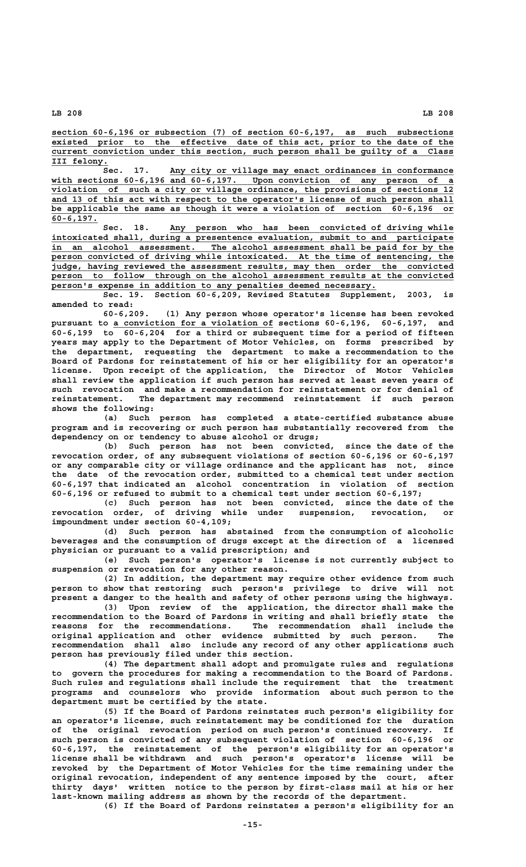**\_\_\_\_\_\_\_\_\_\_\_\_\_\_\_\_\_\_\_\_\_\_\_\_\_\_\_\_\_\_\_\_\_\_\_\_\_\_\_\_\_\_\_\_\_\_\_\_\_\_\_\_\_\_\_\_\_\_\_\_\_\_\_\_\_\_\_\_\_\_\_\_\_\_\_\_\_\_ section 60-6,196 or subsection (7) of section 60-6,197, as such subsections** existed prior to the effective date of this act, prior to the date of the  **\_\_\_\_\_\_\_\_\_\_\_\_\_\_\_\_\_\_\_\_\_\_\_\_\_\_\_\_\_\_\_\_\_\_\_\_\_\_\_\_\_\_\_\_\_\_\_\_\_\_\_\_\_\_\_\_\_\_\_\_\_\_\_\_\_\_\_\_\_\_\_\_\_\_\_\_\_\_ current conviction under this section, such person shall be guilty of a Class III felony. \_\_\_\_\_\_\_\_\_\_\_**

 **\_\_\_\_\_\_\_\_\_\_\_\_\_\_\_\_\_\_\_\_\_\_\_\_\_\_\_\_\_\_\_\_\_\_\_\_\_\_\_\_\_\_\_\_\_\_\_\_\_\_\_\_\_\_\_ Sec. 17. Any city or village may enact ordinances in conformance \_\_\_\_\_\_\_\_\_\_\_\_\_\_\_\_\_\_\_\_\_\_\_\_\_\_\_\_\_\_\_\_\_\_\_\_\_\_\_\_\_\_\_\_\_\_\_\_\_\_\_\_\_\_\_\_\_\_\_\_\_\_\_\_\_\_\_\_\_\_\_\_\_\_\_\_\_\_ with sections 60-6,196 and 60-6,197. Upon conviction of any person of a \_\_\_\_\_\_\_\_\_\_\_\_\_\_\_\_\_\_\_\_\_\_\_\_\_\_\_\_\_\_\_\_\_\_\_\_\_\_\_\_\_\_\_\_\_\_\_\_\_\_\_\_\_\_\_\_\_\_\_\_\_\_\_\_\_\_\_\_\_\_\_\_\_\_\_\_\_\_ violation of such a city or village ordinance, the provisions of sections 12** and 13 of this act with respect to the operator's license of such person shall be applicable the same as though it were a violation of section 60-6,196 or  **60-6,197. \_\_\_\_\_\_\_\_\_**

Sec. 18. Any person who has been convicted of driving while  **\_\_\_\_\_\_\_\_\_\_\_\_\_\_\_\_\_\_\_\_\_\_\_\_\_\_\_\_\_\_\_\_\_\_\_\_\_\_\_\_\_\_\_\_\_\_\_\_\_\_\_\_\_\_\_\_\_\_\_\_\_\_\_\_\_\_\_\_\_\_\_\_\_\_\_\_\_\_ intoxicated shall, during a presentence evaluation, submit to and participate \_\_\_\_\_\_\_\_\_\_\_\_\_\_\_\_\_\_\_\_\_\_\_\_\_\_\_\_\_\_\_\_\_\_\_\_\_\_\_\_\_\_\_\_\_\_\_\_\_\_\_\_\_\_\_\_\_\_\_\_\_\_\_\_\_\_\_\_\_\_\_\_\_\_\_\_\_\_ in an alcohol assessment. The alcohol assessment shall be paid for by the** person convicted of driving while intoxicated. At the time of sentencing, the  **\_\_\_\_\_\_\_\_\_\_\_\_\_\_\_\_\_\_\_\_\_\_\_\_\_\_\_\_\_\_\_\_\_\_\_\_\_\_\_\_\_\_\_\_\_\_\_\_\_\_\_\_\_\_\_\_\_\_\_\_\_\_\_\_\_\_\_\_\_\_\_\_\_\_\_\_\_\_ judge, having reviewed the assessment results, may then order the convicted \_\_\_\_\_\_\_\_\_\_\_\_\_\_\_\_\_\_\_\_\_\_\_\_\_\_\_\_\_\_\_\_\_\_\_\_\_\_\_\_\_\_\_\_\_\_\_\_\_\_\_\_\_\_\_\_\_\_\_\_\_\_\_\_\_\_\_\_\_\_\_\_\_\_\_\_\_\_ person to follow through on the alcohol assessment results at the convicted** person's expense in addition to any penalties deemed necessary.

**Sec. 19. Section 60-6,209, Revised Statutes Supplement, 2003, is**

**amended to read: 60-6,209. (1) Any person whose operator's license has been revoked \_\_\_\_\_\_\_\_\_\_\_\_\_\_\_\_\_\_\_\_\_\_\_\_\_\_\_\_\_\_\_ pursuant to a conviction for a violation of sections 60-6,196, 60-6,197, and 60-6,199 to 60-6,204 for a third or subsequent time for a period of fifteen years may apply to the Department of Motor Vehicles, on forms prescribed by the department, requesting the department to make a recommendation to the Board of Pardons for reinstatement of his or her eligibility for an operator's license. Upon receipt of the application, the Director of Motor Vehicles shall review the application if such person has served at least seven years of such revocation and make a recommendation for reinstatement or for denial of reinstatement. The department may recommend reinstatement if such person shows the following:**

**(a) Such person has completed a state-certified substance abuse program and is recovering or such person has substantially recovered from the dependency on or tendency to abuse alcohol or drugs;**

**(b) Such person has not been convicted, since the date of the revocation order, of any subsequent violations of section 60-6,196 or 60-6,197 or any comparable city or village ordinance and the applicant has not, since the date of the revocation order, submitted to a chemical test under section 60-6,197 that indicated an alcohol concentration in violation of section 60-6,196 or refused to submit to a chemical test under section 60-6,197;**

**(c) Such person has not been convicted, since the date of the revocation order, of driving while under suspension, revocation, or impoundment under section 60-4,109;**

**(d) Such person has abstained from the consumption of alcoholic beverages and the consumption of drugs except at the direction of a licensed physician or pursuant to a valid prescription; and**

**(e) Such person's operator's license is not currently subject to suspension or revocation for any other reason.**

**(2) In addition, the department may require other evidence from such person to show that restoring such person's privilege to drive will not present a danger to the health and safety of other persons using the highways.**

**(3) Upon review of the application, the director shall make the recommendation to the Board of Pardons in writing and shall briefly state the reasons for the recommendations. The recommendation shall include the original application and other evidence submitted by such person. The recommendation shall also include any record of any other applications such person has previously filed under this section.**

**(4) The department shall adopt and promulgate rules and regulations to govern the procedures for making a recommendation to the Board of Pardons. Such rules and regulations shall include the requirement that the treatment programs and counselors who provide information about such person to the department must be certified by the state.**

**(5) If the Board of Pardons reinstates such person's eligibility for an operator's license, such reinstatement may be conditioned for the duration of the original revocation period on such person's continued recovery. If such person is convicted of any subsequent violation of section 60-6,196 or 60-6,197, the reinstatement of the person's eligibility for an operator's license shall be withdrawn and such person's operator's license will be revoked by the Department of Motor Vehicles for the time remaining under the original revocation, independent of any sentence imposed by the court, after thirty days' written notice to the person by first-class mail at his or her last-known mailing address as shown by the records of the department.**

**(6) If the Board of Pardons reinstates a person's eligibility for an**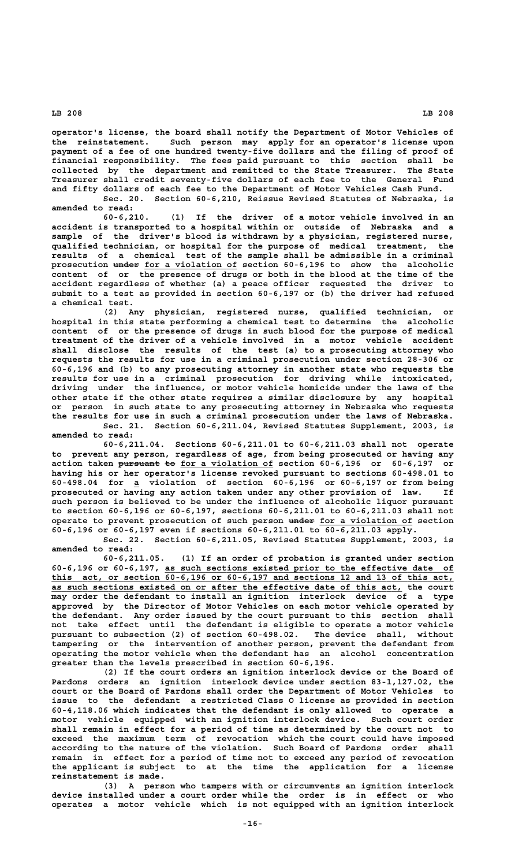**operator's license, the board shall notify the Department of Motor Vehicles of the reinstatement. Such person may apply for an operator's license upon payment of a fee of one hundred twenty-five dollars and the filing of proof of financial responsibility. The fees paid pursuant to this section shall be collected by the department and remitted to the State Treasurer. The State Treasurer shall credit seventy-five dollars of each fee to the General Fund and fifty dollars of each fee to the Department of Motor Vehicles Cash Fund. Sec. 20. Section 60-6,210, Reissue Revised Statutes of Nebraska, is**

**amended to read: 60-6,210. (1) If the driver of a motor vehicle involved in an**

**accident is transported to a hospital within or outside of Nebraska and a sample of the driver's blood is withdrawn by a physician, registered nurse, qualified technician, or hospital for the purpose of medical treatment, the results of a chemical test of the sample shall be admissible in a criminal** prosecution under for a violation of section 60-6,196 to show the alcoholic **content of or the presence of drugs or both in the blood at the time of the accident regardless of whether (a) a peace officer requested the driver to submit to a test as provided in section 60-6,197 or (b) the driver had refused a chemical test.**

**(2) Any physician, registered nurse, qualified technician, or hospital in this state performing a chemical test to determine the alcoholic content of or the presence of drugs in such blood for the purpose of medical treatment of the driver of a vehicle involved in a motor vehicle accident shall disclose the results of the test (a) to a prosecuting attorney who requests the results for use in a criminal prosecution under section 28-306 or 60-6,196 and (b) to any prosecuting attorney in another state who requests the results for use in a criminal prosecution for driving while intoxicated, driving under the influence, or motor vehicle homicide under the laws of the other state if the other state requires a similar disclosure by any hospital or person in such state to any prosecuting attorney in Nebraska who requests the results for use in such a criminal prosecution under the laws of Nebraska.**

**Sec. 21. Section 60-6,211.04, Revised Statutes Supplement, 2003, is amended to read:**

**60-6,211.04. Sections 60-6,211.01 to 60-6,211.03 shall not operate to prevent any person, regardless of age, from being prosecuted or having any** action taken pursuant to for a violation of section 60-6,196 or 60-6,197 or **having his or her operator's license revoked pursuant to sections 60-498.01 to \_ 60-498.04 for a violation of section 60-6,196 or 60-6,197 or from being prosecuted or having any action taken under any other provision of law. If such person is believed to be under the influence of alcoholic liquor pursuant to section 60-6,196 or 60-6,197, sections 60-6,211.01 to 60-6,211.03 shall not operate to prevent prosecution of such person under for a violation of section 60-6,196 or 60-6,197 even if sections 60-6,211.01 to 60-6,211.03 apply.**

**Sec. 22. Section 60-6,211.05, Revised Statutes Supplement, 2003, is amended to read:**

**60-6,211.05. (1) If an order of probation is granted under section \_\_\_\_\_\_\_\_\_\_\_\_\_\_\_\_\_\_\_\_\_\_\_\_\_\_\_\_\_\_\_\_\_\_\_\_\_\_\_\_\_\_\_\_\_\_\_\_\_\_\_\_\_\_\_\_ 60-6,196 or 60-6,197, as such sections existed prior to the effective date of \_\_\_\_\_\_\_\_\_\_\_\_\_\_\_\_\_\_\_\_\_\_\_\_\_\_\_\_\_\_\_\_\_\_\_\_\_\_\_\_\_\_\_\_\_\_\_\_\_\_\_\_\_\_\_\_\_\_\_\_\_\_\_\_\_\_\_\_\_\_\_\_\_\_\_\_\_\_ this act, or section 60-6,196 or 60-6,197 and sections 12 and 13 of this act, \_\_\_\_\_\_\_\_\_\_\_\_\_\_\_\_\_\_\_\_\_\_\_\_\_\_\_\_\_\_\_\_\_\_\_\_\_\_\_\_\_\_\_\_\_\_\_\_\_\_\_\_\_\_\_\_\_\_\_\_\_\_\_\_\_\_\_\_ as such sections existed on or after the effective date of this act, the court may order the defendant to install an ignition interlock device of a type approved by the Director of Motor Vehicles on each motor vehicle operated by the defendant. Any order issued by the court pursuant to this section shall not take effect until the defendant is eligible to operate a motor vehicle pursuant to subsection (2) of section 60-498.02. The device shall, without tampering or the intervention of another person, prevent the defendant from operating the motor vehicle when the defendant has an alcohol concentration greater than the levels prescribed in section 60-6,196.**

**(2) If the court orders an ignition interlock device or the Board of Pardons orders an ignition interlock device under section 83-1,127.02, the court or the Board of Pardons shall order the Department of Motor Vehicles to issue to the defendant a restricted Class O license as provided in section 60-4,118.06 which indicates that the defendant is only allowed to operate a motor vehicle equipped with an ignition interlock device. Such court order shall remain in effect for a period of time as determined by the court not to exceed the maximum term of revocation which the court could have imposed according to the nature of the violation. Such Board of Pardons order shall remain in effect for a period of time not to exceed any period of revocation the applicant is subject to at the time the application for a license reinstatement is made.**

**(3) A person who tampers with or circumvents an ignition interlock device installed under a court order while the order is in effect or who operates a motor vehicle which is not equipped with an ignition interlock**